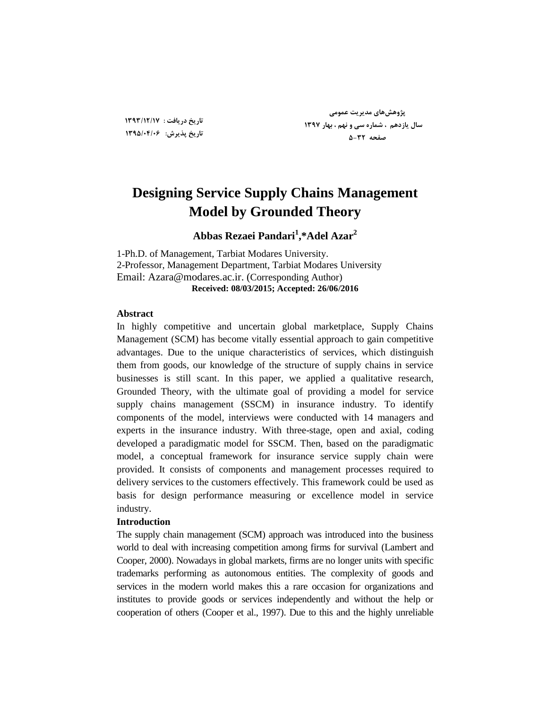## **Designing Service Supply Chains Management Model by Grounded Theory**

## **Abbas Rezaei Pandari<sup>1</sup> ,\*Adel Azar<sup>2</sup>**

1-Ph.D. of Management, Tarbiat Modares University. 2-Professor, Management Department, Tarbiat Modares University Email: Azara@modares.ac.ir. (Corresponding Author) **Received: 08/03/2015; Accepted: 26/06/2016**

#### **Abstract**

In highly competitive and uncertain global marketplace, Supply Chains Management (SCM) has become vitally essential approach to gain competitive advantages. Due to the unique characteristics of services, which distinguish them from goods, our knowledge of the structure of supply chains in service businesses is still scant. In this paper, we applied a qualitative research, Grounded Theory, with the ultimate goal of providing a model for service supply chains management (SSCM) in insurance industry. To identify components of the model, interviews were conducted with 14 managers and experts in the insurance industry. With three-stage, open and axial, coding developed a paradigmatic model for SSCM. Then, based on the paradigmatic model, a conceptual framework for insurance service supply chain were provided. It consists of components and management processes required to delivery services to the customers effectively. This framework could be used as basis for design performance measuring or excellence model in service industry.

#### **Introduction**

The supply chain management (SCM) approach was introduced into the business world to deal with increasing competition among firms for survival (Lambert and Cooper, 2000). Nowadays in global markets, firms are no longer units with specific trademarks performing as autonomous entities. The complexity of goods and services in the modern world makes this a rare occasion for organizations and institutes to provide goods or services independently and without the help or cooperation of others [\(Cooper et al., 1997\)](#page-26-0). Due to this and the highly unreliable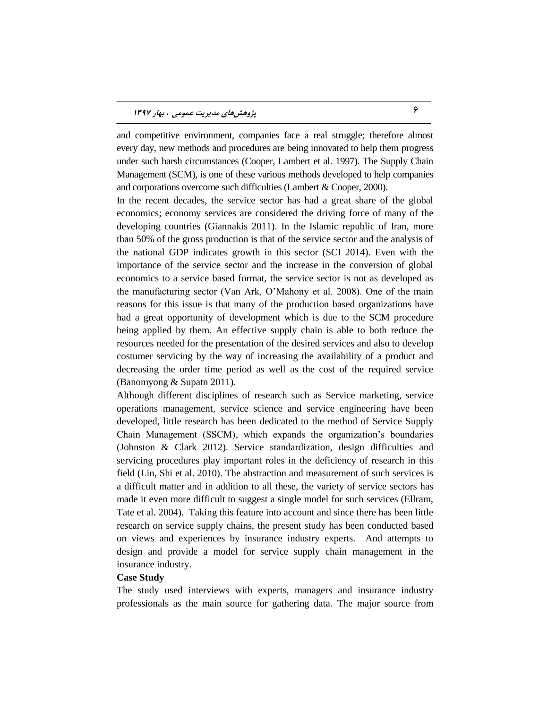and competitive environment, companies face a real struggle; therefore almost every day, new methods and procedures are being innovated to help them progress under such harsh circumstances (Cooper, Lambert et al. 1997). The Supply Chain Management (SCM), is one of these various methods developed to help companies and corporations overcome such difficulties (Lambert & Cooper, 2000).

In the recent decades, the service sector has had a great share of the global economics; economy services are considered the driving force of many of the developing countries (Giannakis 2011). In the Islamic republic of Iran, more than 50% of the gross production is that of the service sector and the analysis of the national GDP indicates growth in this sector (SCI 2014). Even with the importance of the service sector and the increase in the conversion of global economics to a service based format, the service sector is not as developed as the manufacturing sector (Van Ark, O'Mahony et al. 2008). One of the main reasons for this issue is that many of the production based organizations have had a great opportunity of development which is due to the SCM procedure being applied by them. An effective supply chain is able to both reduce the resources needed for the presentation of the desired services and also to develop costumer servicing by the way of increasing the availability of a product and decreasing the order time period as well as the cost of the required service (Banomyong & Supatn 2011).

Although different disciplines of research such as Service marketing, service operations management, service science and service engineering have been developed, little research has been dedicated to the method of Service Supply Chain Management (SSCM), which expands the organization's boundaries (Johnston & Clark 2012). Service standardization, design difficulties and servicing procedures play important roles in the deficiency of research in this field (Lin, Shi et al. 2010). The abstraction and measurement of such services is a difficult matter and in addition to all these, the variety of service sectors has made it even more difficult to suggest a single model for such services (Ellram, Tate et al. 2004). Taking this feature into account and since there has been little research on service supply chains, the present study has been conducted based on views and experiences by insurance industry experts. And attempts to design and provide a model for service supply chain management in the insurance industry.

#### **Case Study**

The study used interviews with experts, managers and insurance industry professionals as the main source for gathering data. The major source from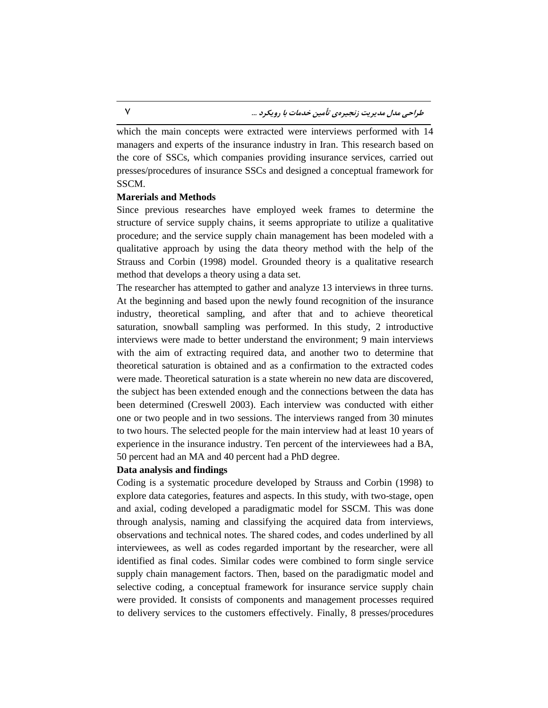which the main concepts were extracted were interviews performed with 14 managers and experts of the insurance industry in Iran. This research based on the core of SSCs, which companies providing insurance services, carried out presses/procedures of insurance SSCs and designed a conceptual framework for SSCM.

#### **Marerials and Methods**

Since previous researches have employed week frames to determine the structure of service supply chains, it seems appropriate to utilize a qualitative procedure; and the service supply chain management has been modeled with a qualitative approach by using the data theory method with the help of the Strauss and Corbin (1998) model. Grounded theory is a qualitative research method that develops a theory using a data set.

The researcher has attempted to gather and analyze 13 interviews in three turns. At the beginning and based upon the newly found recognition of the insurance industry, theoretical sampling, and after that and to achieve theoretical saturation, snowball sampling was performed. In this study, 2 introductive interviews were made to better understand the environment; 9 main interviews with the aim of extracting required data, and another two to determine that theoretical saturation is obtained and as a confirmation to the extracted codes were made. Theoretical saturation is a state wherein no new data are discovered, the subject has been extended enough and the connections between the data has been determined (Creswell 2003). Each interview was conducted with either one or two people and in two sessions. The interviews ranged from 30 minutes to two hours. The selected people for the main interview had at least 10 years of experience in the insurance industry. Ten percent of the interviewees had a BA, 50 percent had an MA and 40 percent had a PhD degree.

#### **Data analysis and findings**

Coding is a systematic procedure developed by Strauss and Corbin (1998) to explore data categories, features and aspects. In this study, with two-stage, open and axial, coding developed a paradigmatic model for SSCM. This was done through analysis, naming and classifying the acquired data from interviews, observations and technical notes. The shared codes, and codes underlined by all interviewees, as well as codes regarded important by the researcher, were all identified as final codes. Similar codes were combined to form single service supply chain management factors. Then, based on the paradigmatic model and selective coding, a conceptual framework for insurance service supply chain were provided. It consists of components and management processes required to delivery services to the customers effectively. Finally, 8 presses/procedures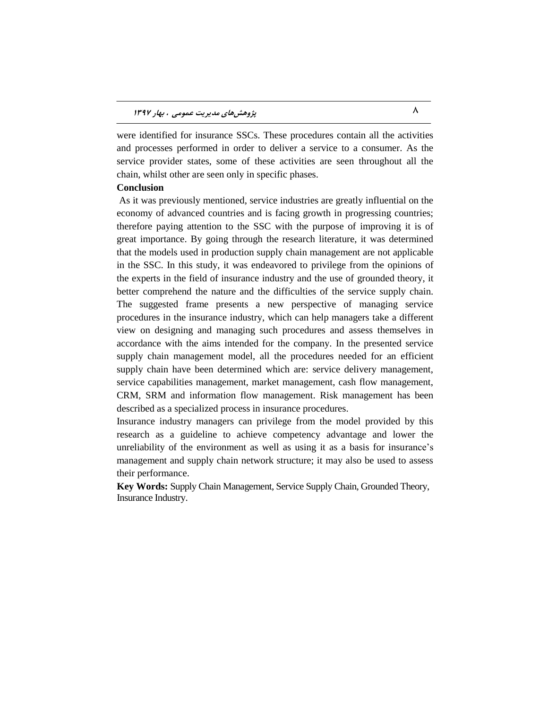were identified for insurance SSCs. These procedures contain all the activities and processes performed in order to deliver a service to a consumer. As the service provider states, some of these activities are seen throughout all the chain, whilst other are seen only in specific phases.

#### **Conclusion**

As it was previously mentioned, service industries are greatly influential on the economy of advanced countries and is facing growth in progressing countries; therefore paying attention to the SSC with the purpose of improving it is of great importance. By going through the research literature, it was determined that the models used in production supply chain management are not applicable in the SSC. In this study, it was endeavored to privilege from the opinions of the experts in the field of insurance industry and the use of grounded theory, it better comprehend the nature and the difficulties of the service supply chain. The suggested frame presents a new perspective of managing service procedures in the insurance industry, which can help managers take a different view on designing and managing such procedures and assess themselves in accordance with the aims intended for the company. In the presented service supply chain management model, all the procedures needed for an efficient supply chain have been determined which are: service delivery management, service capabilities management, market management, cash flow management, CRM, SRM and information flow management. Risk management has been described as a specialized process in insurance procedures.

Insurance industry managers can privilege from the model provided by this research as a guideline to achieve competency advantage and lower the unreliability of the environment as well as using it as a basis for insurance's management and supply chain network structure; it may also be used to assess their performance.

**Key Words:** Supply Chain Management, Service Supply Chain, Grounded Theory, Insurance Industry.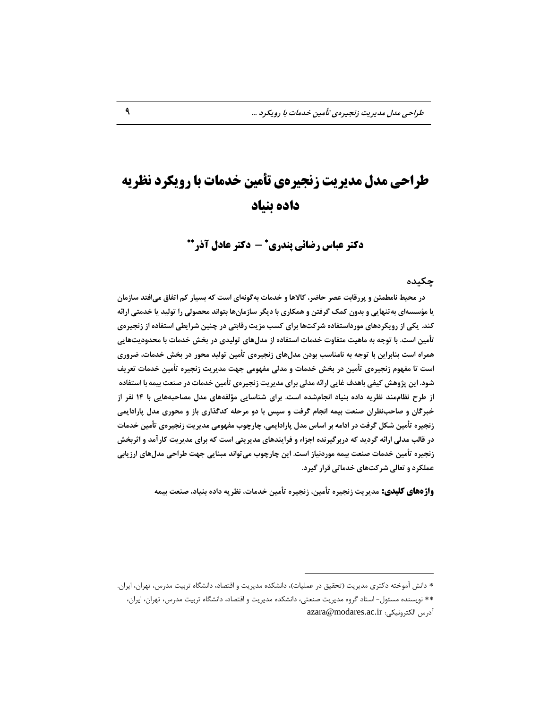# **طراحی مدل مدیریت زنجیرهی تأمین خدمات با رویکرد نظریه داده بنیاد**

**دکتر عباس رضائی پندری - دکتر عادل آذر**

#### **چکیذُ**

 **در هحیظ ًبهغوئي ٍ پزرلبثت عصز حبضز، كبالّب ٍ خذهبت ثِگًَِای است كِ ثسیبر كن اتفبق هیافتذ سبسهبى** یا مؤسسهای به تنهایی و بدون کمک گرفتن و همکاری با دیگر سازمانها بتواند محصولی را تولید یا خدمتی ارائه كند. یکی از رویکردهای مورداستفاده شركتّها برای كسب مزیت رقابتی در چنین شرایطی استفاده از زنجیرهی تأمین است. با توجه به ماهیت متفاوت خدمات استفاده از مدلّهای تولیدی در بخش خدمات با محدودیتّهایی **ّوزاُ است ثٌبثزایي ثب تَجِ ثِ ًبهٌبست ثَدى هذلّبی سًجیزُی تأهیي تَلیذ هحَر در ثخص خذهبت، ضزٍری**  است تا مفهوم زنجیرەی تأمین در بخش خدمات و مدلی مفهومی جهت مدیریت زنجیره تأمین خدمات تعریف شود. این پژوهش كیفی باهدف غایی ارائه مدلی برای مدیریت زنجیرِهی تأمین خدمات در صنعت بیمه با استفاده **اس عزح ًظبمهٌذ ًظزیِ دادُ ثٌیبد اًجبمضذُ است. ثزای ضٌبسبیی هؤلفِّبی هذل هصبحجِّبیی ثب 14 ًفز اس خجزگبى ٍ صبحتًظزاى صٌعت ثیوِ اًجبم گزفت ٍ سپس ثب دٍ هزحلِ كذگذاری ثبس ٍ هحَری هذل پبرادایوی سًجیزُ تأهیي ضکل گزفت در اداهِ ثز اسبس هذل پبرادایوی، چبرچَة هفَْهی هذیزیت سًجیزُی تأهیي خذهبت در لبلت هذلی ارائِ گزدیذ كِ درثزگیزًذُ اجشاء ٍ فزایٌذّبی هذیزیتی است كِ ثزای هذیزیت كبرآهذ ٍ اثزثخص**  زنجیرِه تأمین خدمات صنعت بیمه موردنیاز است. این چارچوب می *ت*واند مبنایی جهت طراحی مدلّهای ارزیابی **عولکزد ٍ تعبلی ضزكتّبی خذهبتی لزار گیزد.**

**واژههای کلیدی:** مدیریت زنجیره تأمین، زنجیره تأمین خدمات، نظریه داده بنیاد، صنعت بیمه

 $\overline{a}$ 

<sup>\*</sup> دانش آموخته دکتری مدیریت (تحقیق در عملیات)، دانشکده مدیریت و اقتصاد، دانشگاه تربیت مدرس، تهران، ایران.

<sup>\*\*</sup> نویسنده مسئول- استاد گروه مدیریت صنعتی، دانشکده مدیریت و اقتصاد، دانشگاه تربیت مدرس، تهران، ایران، آزضس الْتطًٍیْی: [ir.ac.modares@azara](mailto:azara@modares.ac.ir)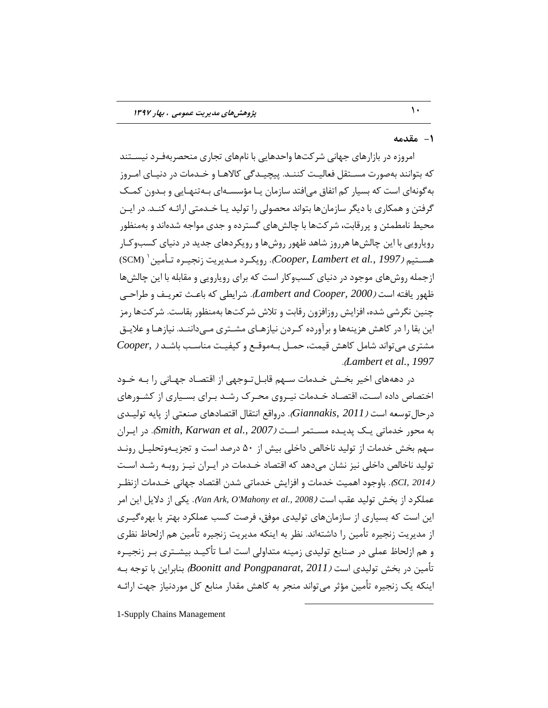## **-1 همذهِ**

امروزه در بازارهای جهانی شرکتها واحدهایی با نامهای تجاری منحصربهفـرد نیســتند که بتوانند بهصورت مسـتقل فعالیـت کننـد. پیچیـدگی کالاهـا و خـدمات در دنیـای امـروز به گونهای است که بسیار کم اتفاق می افتد سازمان یـا مؤسسـهای بـهتنهـایی و بـدون کمـک گرفتن و همکاری با دیگر سازمانها بتواند محصولی را تولید یـا خـدمتی ارائـه کنـد. در ایـن محیط نامطمئن و پررقابت، شرکتها با چالش های گسترده و جدی مواجه شدهاند و بهمنظور رویارویی با این چالش ها هرروز شاهد ظهور روش ها و رویکردهای جدید در دنیای کسبوکـار هســتيم *(Cooper, Lambert et al., 1997). <sub>ر</sub>ويكـرد مـديريت زنجيـره تــأمين ` (SC*M) ازجمله روشهای موجود در دنیای کسبوکار است که برای رویارویی و مقابله با این چالشها ؽَْض یبىتِ است )*2000 [,Cooper and Lambert](#page-26-1)*). ضطایغی ِّ ثبفر تقطیرو ٍ عطاحری چنین نگرشی شده، افزایش روزافزون رقابت و تلاش شرکتها بهمنظور بقاست. شرکتها رمز این بقا را در کاهش هزینهها و برآورده کـردن نیازهـای مشـتری مـیداننـد. نیازهـا و علایـق هطتطی هیتَاًس ضبه ّبّص ٍیوت، حور ثرِ هٍَرـ ٍ ّیيیرت هٌبسرت ثبضرس [\)](#page-25-0) *[,Cooper](#page-25-0)* .)*[Lambert et al.,](#page-25-0) 1997*

در دهههای اخیر بخــش خــدمات ســهم قابــل تــوجهی از اقتصــاد جهــانی را بــه خــود اختصاص داده است، اقتصـاد خـدمات نیـروی محـرک رشـد بـرای بسـیاری از کشـورهای درحال توسعه است *( Giannakis, 2011).* درواقع انتقال اقتصادهای صنعتی از پایه تولیـدی ثِ هحَض ذسهبتی یرِ پسیرسُ هسرتوط اسرت )*2007 [.,al et Karwan ,Smith](#page-27-0)*). زض ایرطاى سهم بخش خدمات از تولید ناخالص داخلی بیش از ۵۰ درصد است و تجزیـهوتحلیـل رونـد تولید ناخالص داخلی نیز نشان می۵هد که اقتصاد خـدمات در ایـران نیـز روبـه رشـد اسـت *(2014 ,SCI).* باوجود اهمیت خدمات و افزایش خدماتی شدن اقتصاد جهانی خـدمات ازنظـر عملكرد از بخش توليد عقب است *(Van Ark, O'Mahony et al., 2008).* یكی از دلایل این امر این است که بسیاری از سازمانِهای تولیدی موفق، فرصت کسب عملکرد بهتر با بهرهگیـری از مدیریت زنجیره تأمین را داشتهاند. نظر به اینکه مدیریت زنجیره تأمین هم ازلحاظ نظری و هم ازلحاظ عملی در صنایع تولیدی زمینه متداولی است امـا تأکیـد بیشـتری بـر زنجیـره تأمین در بخش تولیدی اس*ت (Boonitt and Pongpanarat, 2011)* بنابراین با توجه بِـه اینکه یک زنجیره تأمین مؤثر می تواند منجر به کاهش مقدار منابع کل موردنیاز جهت ارائـه

 $\overline{a}$ 

1-Supply Chains Management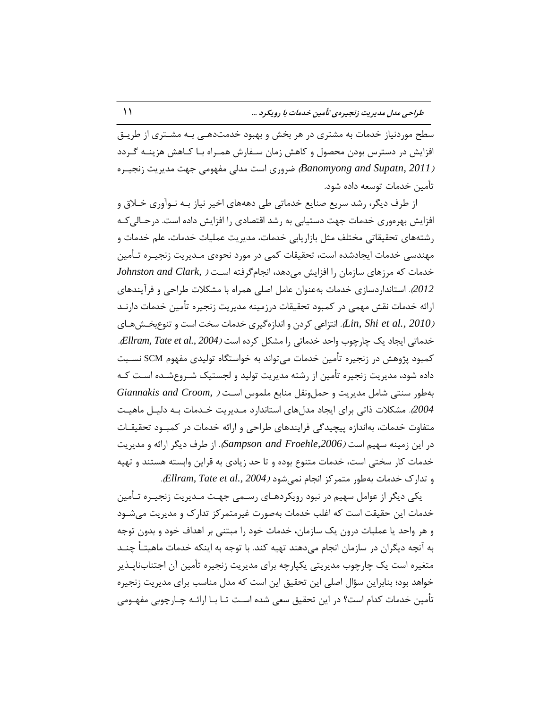سطح موردنیاز خدمات به مشتری در هر بخش و بهبود خدمتدهـی بـه مشـتری از طریـق افزایش در دسترس بودن محصول و کاهش زمان سـفارش همـراه بـا کـاهش هزینــه گـردد *(Banomyong and Supatn, 2011) ضروری* است مدلی مفهومی جهت مدیریت زنجیـره تأمین خدمات توسعه داده شود.

از طرف دیگر، رشد سریع صنایع خدماتی طی دهههای اخیر نیاز بـه نـوآوری خـلاق و افزایش بهرهوری خدمات جهت دستیابی به رشد اقتصادی را افزایش داده است. درحـالی کـه رشتههای تحقیقاتی مختلف مثل بازاریابی خدمات، مدیریت عملیات خدمات، علم خدمات و مهندسی خدمات ایجادشده است، تحقیقات کمی در مورد نحوهی مـدیریت زنجیـره تـأمین خدمات که مرزهای سازمان را افزایش می $\alpha$ هد، انجامگرفته است $\alpha$  *(Johnston and Clark,* [2012](#page-26-3)). استانداردسازی خِدمات بهعنوان عامل اصلی همراه با مشکلات طراحی و فرآیندهای ارائه خدمات نقش مهمی در کمبود تحقیقات درزمینه مدیریت زنجیره تأمین خدمات دارنـد *(2010 ,Lin, Shi et al., ا*لتزاعی کردن و اندازه گیری خدمات سخت است و تنوع بخشهای خدماتی ایجاد یک چارچوب واحد خدماتی را مشکل کرده است *(2004 ,Ellram, Tate et al., 2004*. کمبود پژوهش در زنجیره تأمین خدمات می تواند به خواستگاه تولیدی مفهوم SCM نسـبت داده شود، مدیریت زنجیره تأمین از رشته مدیریت تولید و لجستیک شـروع شـده اسـت کـه ثِعَض سٌتی ضبه هسیطیت ٍ حو ًٍَ هٌبثـ هلوَس اسرت [\)](#page-26-6) *[,Croom and Giannakis](#page-26-6) [2004](#page-26-6)*(. هطْالت شاتی ثطای ایدبز هسلّبی استبًساضز هرسیطیت ذرسهبت ثرِ زلیر هبّیرت متفاوت خدمات، بهاندازه پیچیدگی فرایندهای طراحی و ارائه خدمات در کمبـود تحقیقـات زض ایي ظهیٌِ سْین است )*,2006Froehle [and Sampson](#page-27-2)*). اظ عطه زیگط اضائِ ٍ هسیطیت خدمات کار سختی است، خدمات متنوع بوده و تا حد زیادی به قراین وابسته هستند و تهیه ٍ تساضُ ذسهبت ثِعَض هتوطّع اًدبم ًویضَز )*2004 [.,al et Tate ,Ellram](#page-26-5)*).

یکی دیگر از عوامل سهیم در نبود رویکردهـای رســمی جهـت مـدیریت زنجیـره تـأمین خدمات این حقیقت است که اغلب خدمات بهصورت غیرمتمر کز تدارک و مدیریت می شـود و هر واحد یا عملیات درون یک سازمان، خدمات خود را مبتنی بر اهداف خود و بدون توجه بِه آنچِه دیگران در سازمان انجام می۵هند تهیه کند. با توجِه به اینکه خدمات ماهیتـاً چنــد متغیره است یک چارچوب مدیریتی یکپارچه برای مدیریت زنجیره تأمین آن اجتنابناپدیر خواهد بود؛ بنابراین سؤال اصلی این تحقیق این است که مدل مناسب برای مدیریت زنجیره تأمین خدمات کدام است؟ در این تحقیق سعی شده است تـا بـا ارائـه چـارچوبی مفهـومی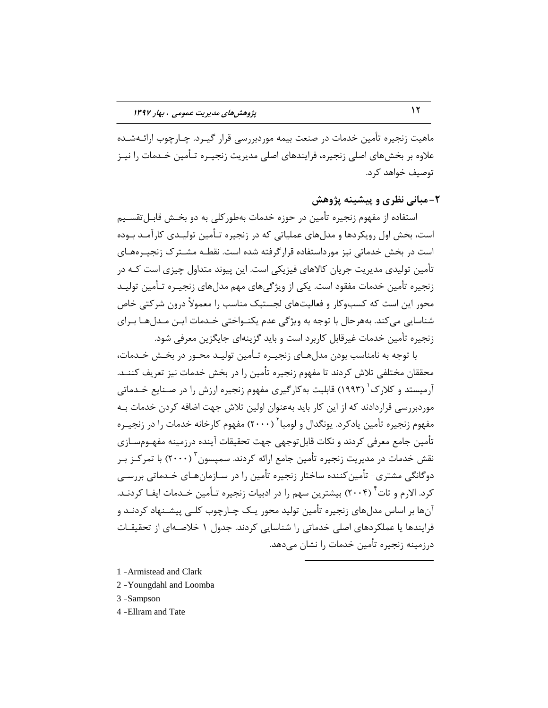ماهیت زنجیره تأمین خدمات در صنعت بیمه موردبررسی قرار گیـرد. چـارچوب ارائـهشـده علاوه بر بخشهای اصلی زنجیره، فرایندهای اصلی مدیریت زنجیـره تـأمین خـدمات را نیـز توصیف خواهد کرد.

## **-2هجبًی ًظزی ٍ پیطیٌِ پژٍّص**

استفاده از مفهوم زنجيره تأمين در حوزه خدمات بهطور کلی به دو بخـش قابـل¤قسـيم است، بخش اول رویکردها و مدلّهای عملیاتی که در زنجیره تـأمین تولیـدی کارآمـد بـوده است در بخش خدماتی نیز مورداستفاده قرارگرفته شده است. نقطـه مشــترک زنجیـرههـای تأمین تولیدی مدیریت جریان کالاهای فیزیکی است. این پیوند متداول چیزی است کـه در زنجیره تأمین خدمات مفقود است. یکی از ویژگی های مهم مدل های زنجیـره تـأمین تولیـد محور این است که کسبوکار و فعالیتهای لجستیک مناسب را معمولاً درون شرکتی خاص شناسایی می کند. بههرحال با توجه به ویژگی عدم یکنـواختی خـدمات ایـن مـدلهـا بـرای زنجیره تأمین خدمات غیرقابل کاربرد است و باید گزینهای جایگزین معرفی شود.

با توجِه به نامناسب بودن مدل هـای زنجیـره تـأمین تولیـد محـور در بخـش خـدمات، محققان مختلفی تلاش کردند تا مفهوم زنجیره تأمین را در بخش خدمات نیز تعریف کننــد. آرمیستد و کلارک<sup>'</sup> (۱۹۹۳) قابلیت به کارگیری مفهوم زنجیره ارزش را در صـنایع خـدماتی موردبررسی قراردادند که از این کار باید بهعنوان اولین تلاش جهت اضافه کردن خدمات بـه مفهوم زنجیره تأمین یادکرد. یونگدال و لومبا<sup>۲</sup> (۲۰۰۰) مفهوم کارخانه خدمات را در زنجیـره تأمین جامع معرفی کردند و نکات قابل توجهی جهت تحقیقات آینده درزمینه مفهـومسـازی نقش خدمات در مدیریت زنجیره تأمین جامع ارائه کردند. سمپسون ۲۰۰۰) با تمرکـز بـر دوگانگی مشتری- تأمین کننده ساختار زنجیره تأمین را در سـازمانهبای خـدماتی بررسـی کرد. الارم و تات ٔ (۲۰۰۴) بیشترین سهم را در ادبیات زنجیره تـأمین خـدمات ایفـا کردنــد. آنها بر اساس مدلهای زنجیره تأمین تولید محور یـک چـارچوب کلـی پیشـنهاد کردنـد و فرایندها یا عملکردهای اصلی خدماتی را شناسایی کردند. جدول ۱ خلاصـهای از تحقیقـات درزمینه زنجیره تأمین خدمات را نشان میدهد.

 $\overline{a}$ 

- 1 -Armistead and Clark
- 2 -Youngdahl and Loomba
- 3 -Sampson
- 4 -Ellram and Tate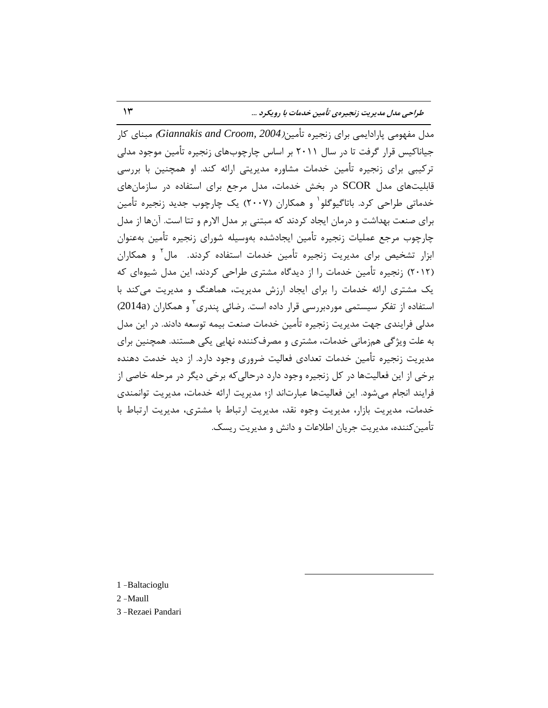طراحی مدل مدیریت زنجیرهی تأمین خدمات با رویکرد ...

هدل مفهومی پارادایمی برای زنجیره تأمین*(Giannakis and Croom, 2004)* مبنای کار جیاناکیس قرار گرفت تا در سال ۲۰۱۱ بر اساس چارچوبهای زنجیره تأمین موجود مدلی ترکیبی برای زنجیره تأمین خدمات مشاوره مدیریتی ارائه کند. او همچنین با بررسی قابلیتهای مدل SCOR در بخش خدمات، مدل مرجع برای استفاده در سازمانهای خدماتی طراحی کرد. باتاگیوگلو<sup>\</sup> و همکاران (۲۰۰۷) یک چارچوب جدید زنجیره تأمین برای صنعت بهداشت و درمان ایجاد کردند که مبتنی بر مدل الارم و تتا است. آنها از مدل چارچوب مرجع عملیات زنجیره تأمین ایجادشده بهوسیله شورای زنجیره تأمین بهعنوان ابزار تشخیص برای مدیریت زنجیره تأمین خدمات استفاده کردند. مال<sup>۲</sup> و همکاران (٢٠١٢) زنجیره تأمین خدمات را از دیدگاه مشتری طراحی کردند، این مدل شیوهای که یک مشتری ارائه خدمات را برای ایجاد ارزش مدیریت، هماهنگ و مدیریت می کند با استفاده از تفکر سیستمی موردبررسی قرار داده است. رضائی پندری ؓ و همکاران (2014a) مدلی فرایندی جهت مدیریت زنجیره تأمین خدمات صنعت بیمه توسعه دادند. در این مدل به علت ویژگی همزمانی خدمات، مشتری و مصرف کننده نهایی یکی هستند. همچنین برای مدیریت زنجیره تأمین خدمات تعدادی فعالیت ضروری وجود دارد. از دید خدمت دهنده برخی از این فعالیتّها در کل زنجیره وجود دارد درحالی که برخی دیگر در مرحله خاصی از فرایند انجام می شود. این فعالیتها عبارتاند از؛ مدیریت ارائه خدمات، مدیریت توانمندی خدمات، مدیریت بازار، مدیریت وجوه نقد، مدیریت ارتباط با هشتری، مدیریت ارتباط با تأمین کننده، مدیریت جریان اطلاعات و دانش و مدیریت ریسک.

 $\overline{a}$ 

1 -Baltacioglu

2 -Maull

3 -Rezaei Pandari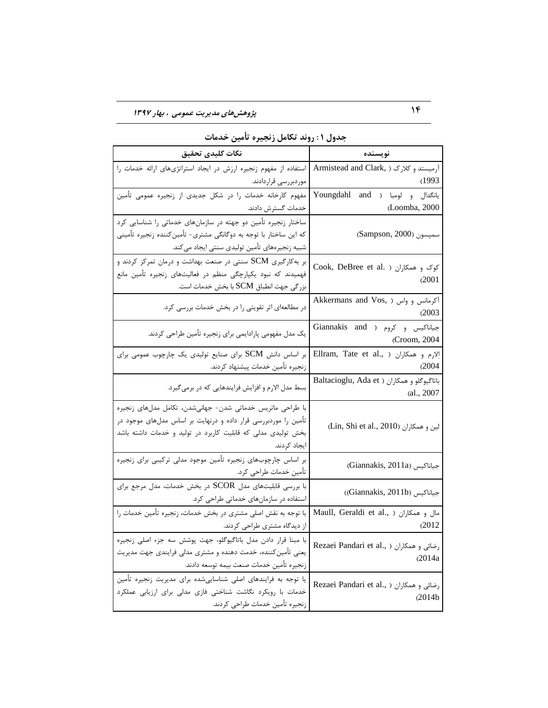| نكات كليدى تحقيق                                                                                          | نويسنده                                         |  |  |  |  |
|-----------------------------------------------------------------------------------------------------------|-------------------------------------------------|--|--|--|--|
| آرمیستد و کلارک ( 'Armistead and Clark   استفاده از مفهوم زنجیره ارزش در ایجاد استراتژیهای ارائه خدمات را |                                                 |  |  |  |  |
| موردبررسی قراردادند.                                                                                      | (1993)                                          |  |  |  |  |
| مفهوم کارخانه خدمات را در شکل جدیدی از زنجیره عمومی تأمین                                                 | Youngdahl and ) يانگدال و لومبا                 |  |  |  |  |
| خدمات گسترش دادند.                                                                                        | (Loomba, 2000                                   |  |  |  |  |
| ساختار زنجیره تأمین دو جهته در سازمانهای خدماتی را شناسایی کرد                                            |                                                 |  |  |  |  |
| که این ساختار با توجه به دوگانگی مشتری- تأمین کننده زنجیره تأمینی                                         | سمپسون (Sampson, 2000)                          |  |  |  |  |
| شبيه زنجيرههاي تأمين توليدي سنتي ايجاد ميكند.                                                             |                                                 |  |  |  |  |
| بر به کارگیری SCM سنتی در صنعت بهداشت و درمان تمرکز کردند و                                               | Cook, DeBree et al. ) کوک و همکاران             |  |  |  |  |
| فهمیدند که نبود یکپارچگی منظم در فعالیتهای زنجیره تأمین مانع                                              | (2001)                                          |  |  |  |  |
| بزرگی جهت انطباق SCM با بخش خدمات است.                                                                    |                                                 |  |  |  |  |
| در مطالعهای اثر تقویتی را در بخش خدمات بررسی کرد.                                                         | Akkermans and Vos, ) آکرمانس و واس (            |  |  |  |  |
|                                                                                                           | (2003)                                          |  |  |  |  |
| یک مدل مفهومی پارادایمی برای زنجیره تأمین طراحی کردند.                                                    | Giannakis and ) جياناكيس و كروم ( Giannakis and |  |  |  |  |
|                                                                                                           | (Croom, 2004                                    |  |  |  |  |
| بر اساس دانش SCM برای صنایع تولیدی یک چارچوب عمومی برای                                                   | Ellram, Tate et al., ) الارم و همكاران          |  |  |  |  |
| زنجيره تأمين خدمات پيشنهاد كردند.                                                                         | (2004)                                          |  |  |  |  |
| بسط مدل الارم و افزایش فرایندهایی که در برمیگیرد.                                                         | Baltacioglu, Ada et ) باتاگيوگلو و همكاران      |  |  |  |  |
|                                                                                                           | (al., 2007                                      |  |  |  |  |
| با طراحی ماتریس خدماتی شدن- جهانیشدن، تکامل مدلهای زنجیره                                                 |                                                 |  |  |  |  |
| تأمین را موردبررسی قرار داده و درنهایت بر اساس مدلهای موجود در                                            | (Lin, Shi et al., 2010) لين و همكاران           |  |  |  |  |
| بخش تولیدی مدلی که قابلیت کاربرد در تولید و خدمات داشته باشد                                              |                                                 |  |  |  |  |
| ايجاد كردند.                                                                                              |                                                 |  |  |  |  |
| بر اساس چارچوبهای زنجیره تأمین موجود مدلی ترکیبی برای زنجیره                                              | (Giannakis, 2011a) جياناكيس                     |  |  |  |  |
| تأمين خدمات طراحي كرد.                                                                                    |                                                 |  |  |  |  |
| با بررسی قابلیتهای مدل SCOR در بخش خدمات، مدل مرجع برای                                                   | (Giannakis, 2011b) جياناكيس                     |  |  |  |  |
| استفاده در سازمانهای خدماتی طراحی کرد.                                                                    |                                                 |  |  |  |  |
| با توجه به نقش اصلی مشتری در بخش خدمات، زنجیره تأمین خدمات را                                             | Maull, Geraldi et al., ) مال و همكاران          |  |  |  |  |
| از دیدگاه مشتری طراحی کردند.                                                                              | (2012)                                          |  |  |  |  |
| با مبنا قرار دادن مدل باتاگیوگلو، جهت پوشش سه جزء اصلی زنجیره                                             | Rezaei Pandari et al., ) رضائی و همکاران        |  |  |  |  |
| یعنی تأمین کننده، خدمت دهنده و مشتری مدلی فرایندی جهت مدیریت                                              | (2014a)                                         |  |  |  |  |
| زنجيره تأمين خدمات صنعت بيمه توسعه دادند.                                                                 |                                                 |  |  |  |  |
| یا توجه به فرایندهای اصلی شناساییشده برای مدیریت زنجیره تأمین                                             | Rezaei Pandari et al., ) رضائی و همکاران        |  |  |  |  |
| خدمات با رویکرد نگاشت شناختی فازی مدلی برای ارزیابی عملکرد                                                | (2014b)                                         |  |  |  |  |
| زنجيره تأمين خدمات طراحي كردند.                                                                           |                                                 |  |  |  |  |

|  |  |  |  |  | جدول ۱ : روند تکامل زنجیره تامین خدمات |
|--|--|--|--|--|----------------------------------------|
|--|--|--|--|--|----------------------------------------|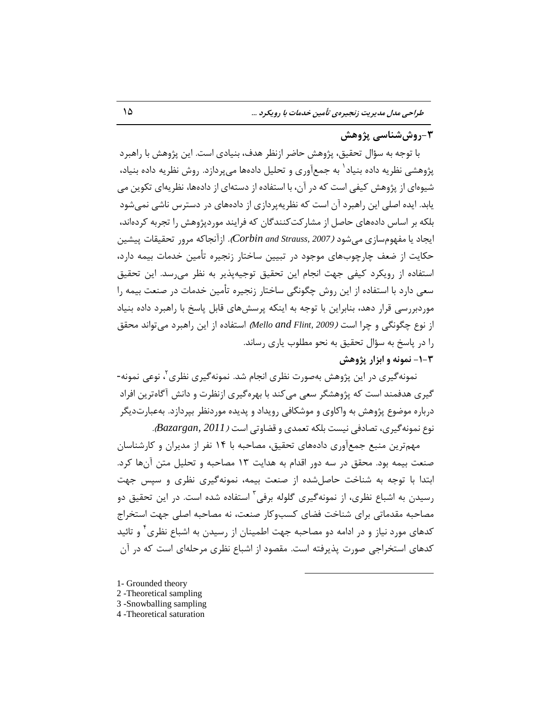## **-3رٍشضٌبسی پژٍّص**

با توجِه به سؤال تحقیق، پژوهش حاضر ازنظر هدف، بنیادی است. این پژوهش با راهیرد پژوهشی نظریه داده بنیاد<sup>٬</sup> به جمعآوری و تحلیل دادهها میپردازد. روش نظریه داده بنیاد، شیوِهای از پژوهش کیفی است که در آن، با استفاده از دستهای از دادهها، نظریهای تکوین می یابد. ایده اصلی این راهبرِد آن است که نظرِ په پردازی از دادههای در دسترس ناشی نمی شود بلکه بر اساس دادههای حاصل از مشارکت کنندگان که فرایند موردیژوهش را تجربه کردهاند، ایجاد یا مفهوِمسازی میشود *(2007 ,Corbin and Strauss).* ازآنجاکه مرور تحقیقات پیشین حکایت از ضعف چارچوبهای موجود در تبیین ساختار زنجیره تأمین خدمات بیمه دارد، استفاده از رویکرد کیفی جهت انجام این تحقیق توجیهپذیر به نظر می رسد. این تحقیق سعی دارد با استفاده از این روش چگونگی ساختار زنجیره تأمین خدمات در صنعت بیمه را موردبررسی قرار دهد، بنابراین با توجه به اینکه پرسشهای قابل پاسخ با راهبرد داده بنیاد از نوع چگونگی و چرا است *(2009 ,Mello and Flint* )استفاده از این راهبرد می تواند محقق را در پاسخ به سؤال تحقیق به نحو مطلوب پاری رساند.

## **-1-3 ًوًَِ ٍ اثشار پژٍّص**

نمونهگیری در این پژوهش بهصورت نظری انجام شد. نمونهگیری نظری<sup>۲</sup>، نوعی نمونه-گیری هدفمند است که پژوهشگر سعی می کند با بهرهگیری ازنظرت و دانش آگاهترین افراد درباره موضوع پژوهش به واکاوی و موشکافی رویداد و پدیده موردنظر بپردازد. بهعبارتدیگر ًَؿ ًوًَِگیطی، تػبزىی ًیست ثلِْ تقوسی ٍ ٍضبٍتی است )*2011 ,Bazargan*).

مهمترین منبع جمعآوری دادههای تحقیق، مصاحبه با ۱۴ نفر از مدیران و کارشناسان صنعت بیمه بود. محقق در سه دور اقدام به هدایت ١٣ مصاحبِه و تحلیل متن آنها کرد. ابتدا با توجه به شناخت حاصل شده از صنعت بیمه، نمونهگیری نظری و سپس جهت رسیدن به اشباع نظری، از نمونهگیری گلوله برفی<sup>۳</sup> استفاده شده است. در این تحقیق دو مصاحبِه مقدماتی برای شناخت فضای کسبوکار صنعت، نه مصاحبِه اصلی جهت استخراج کدهای مورد نیاز و در ادامه دو مصاحبه جهت اطمینان از رسیدن به اشباع نظری<sup>۴</sup> و تائید کدهای استخراجی صورت پذیرفته است. مقصود از اشباع نظری مرحلهای است که در آن

 $\overline{a}$ 

- 1- Grounded theory
- 2 -Theoretical sampling
- 3 -Snowballing sampling
- 4 -Theoretical saturation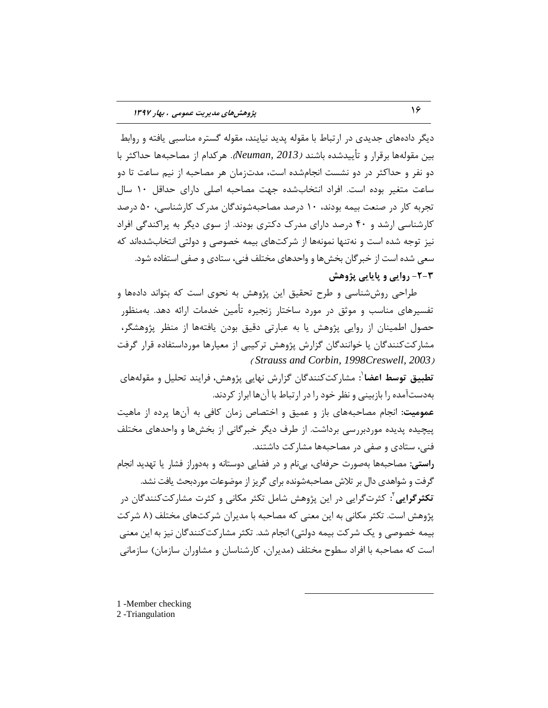دیگر دادههای جدیدی در ارتباط با مقوله پدید نیایند، مقوله گستره مناسبی یافته و روابط بين مقولهها برقرار و تأييدشده باشند *(Neuman, 2013).* هر كدام از مصاحبهها حداكثر با دو نفر و حداکثر در دو نشست انجامشده است، مدت;مان هر مصاحبِه از نیم ساعت تا دو ساعت متغیر بوده است. افراد انتخابشده جهت مصاحبه اصلی دارای حداقل ١٠ سال تجِ به کار در صنعت بیمه بودند، ۱۰ درصد مصاحبهشوندگان مدرِ ک کارشناسی، ۵۰ درصد کارشناسی ارشد و ۴۰ درصد دارای مدرک دکتری بودند. از سوی دیگر به پراکندگی افراد نیز توجِه شده است و نهتنها نمونهها از شرکتهای بیمه خصوصی و دولتی انتخابشدهاند که سعی شده است از خبرگان بخشها و واحدهای مختلف فنی، ستادی و صفی استفاده شود. **-2-3 رٍایی ٍ پبیبیی پژٍّص**

طراحی روششناسی و طرح تحقیق این پژوهش به نحوی است که بتواند دادهها و تفسیرهای مناسب و موثق در مورد ساختار زنجیره تأمین خدمات ارائه دهد. بهمنظور حصول اطمینان از روایی پژوهش یا به عبارتی دقیق بودن یافتهها از منظر پژوهشگر، مشارکتکنندگان یا خوانندگان گزارش پژوهش ترکیبی از معیارها مورداستفاده قرار گرفت ) *[Strauss and Corbin,](#page-27-5) 199[8Creswell,](#page-27-5) 2003*(

تطبیق توسط اعضا<sup>'</sup>: مشارکتکنندگان گزارش نهایی پژوهش، فرایند تحلیل و مقولههای بهدستآمده را بازبینی و نظر خود را در ارتباط با آنها ابراز کردند.

عمومیت: انجام مصاحبههای باز و عمیق و اختصاص زمان کافی به آنها پرده از ماهیت پیچیده پدیده موردبررسی برداشت. از طرف دیگر خبرگانی از بخشها و واحدهای مختلف فنی، ستادی و صفی در مصاحبِهها مشارکت داشتند.

**راستی:** مصاحبِهها بِهصورت حرفهای، بی نام و در فضایی دوستانه و بِهدوراز فشار یا تهدید انجام گرفت و شواهدی دال بر تلاش مصاحبهشونده برای گریز از موضوعات موردبحث یافت نشد. <mark>تکثرگرایی<sup>۲</sup>:</mark> کثرتگرایی در این پژوهش شامل تکثر مکانی و کثرت مشارکتکنندگان در پژوهش است. تكثر مكانی به این معنی كه مصاحبه با مدیران شركتهای مختلف (۸ شركت بیمه خصوصی و یک شرکت بیمه دولتی) انجام شد. تکثر مشارکتکنندگان نیز به این معنی است که مصاحبِه با افراد سطوح مختلف (مدیران، کارشناسان و مشاوران سازمان) سازمانی

 $\overline{a}$ 

1 -Member checking

2 -Triangulation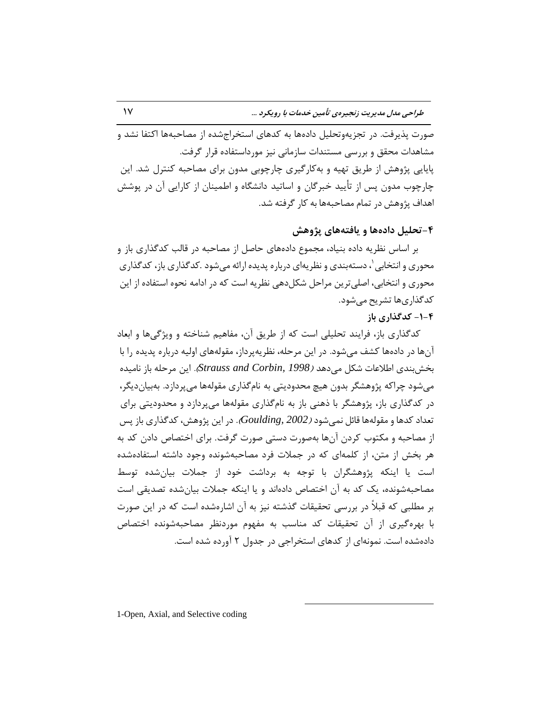صورت پذیرفت. در تجزیهوتحلیل دادهها به کدهای استخراجِشده از مصاحبهها اکتفا نشد و مشاهدات محقّق و بررسی مستندات سازمانی نیز مورداستفاده قرار گرفت. پایایی پژوهش از طریق تهیه و بهکارگیری چارچوبی مدون برای مصاحبه کنترل شد. این چارچوب مدون پس از تأیید خبرگان و اساتید دانشگاه و اطمینان از کارایی آن در پوشش اهداف پژوهش در تمام مصاحبِهها بِه کار گرفته شد.

**-4تحلیل دادُّب ٍ یبفتِّبی پژٍّص**

بر اساس نظریه داده بنیاد، مجموع دادههای حاصل از مصاحبه در قالب کدگذاری باز و محوری و انتخابی '، دستهبندی و نظریهای درباره پدیده ارائه میشود .کدگذاری باز، کدگذاری محوری و انتخابی، اصلی ترین مراحل شکلِ دهی نظریه است که در ادامه نحوه استفاده از این کدگذاریها تشریح می شود.

#### **-1-4 كذگذاری ثبس**

کدگذاری باز، فرایند تحلیلی است که از طریق آن، مفاهیم شناخته و ویژگیها و ابعاد آنِها در دادهها کشف میشود. در این مرحله، نظرِیهپرداز، مقولههای اولیه درباره پدیده را با ثرصثٌسی اعالفبت ضْ هیزّس )*1998 [,Corbin and Strauss](#page-27-5)*). ایي هطحلِ ثبظ ًبهیسُ می شود چراکه پژوهشگر بدون هیچ محدودیتی به نامگذاری مقولهها می پردازد. بهبیاندیگر، در کدگذاری باز، پژوهشگر با ذهنی باز به نامگذاری مقولهها میپردازد و محدودیتی برای تعداد کدها و مقولهها قائل نمی شود *(2002 [,Goulding](#page-26-9)).* در این پژوهش، کدگذاری باز پس از مصاحبِه و مكتوب كردن آنها بهصورت دستی صورت گرفت. برای اختصاص دادن كد به هر بخش از متن، از کلمهای که در جِملات فرد مصاحبِهشونده وجود داشته استفادهشده است یا اینکه پژوهشگران با توجه به برداشت خود از جملات بیانشده توسط مصاحبهشونده، یِک کد به آن اختصاص دادهاند و یا اینکه جملات بیانِشده تصدیقی است بر مطلبی که قبلاً در بررسی تحقیقات گذشته نیز به آن اشارهشده است که در این صورت با بهرهگیری از آن تحقیقات کد مناسب به مفهوم موردنظر مصاحبهشونده اختصاص دادهشده است. نمونهای از کدهای استخراجی در جدول ۲ آورده شده است.

 $\overline{a}$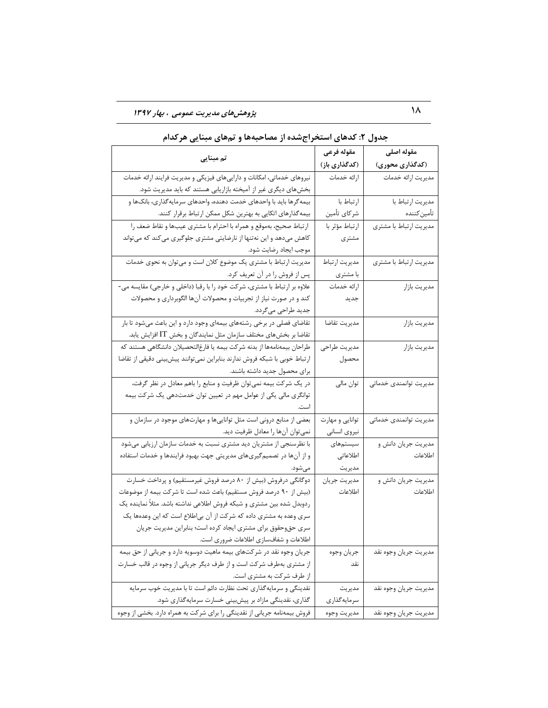18 **پژٍّصّبی هذیزیت عوَهی ، ثْبر 1337**

|                                                                            | مقوله فرعى      | مقوله اصلى             |  |  |
|----------------------------------------------------------------------------|-----------------|------------------------|--|--|
| تم مبنایی                                                                  | (كدگذارى باز)   | (کدگذاری محوری)        |  |  |
| نیروهای خدماتی، امکانات و داراییهای فیزیکی و مدیریت فرایند ارائه خدمات     | ارائه خدمات     | مديريت ارائه خدمات     |  |  |
| بخشهای دیگری غیر از آمیخته بازاریابی هستند که باید مدیریت شود.             |                 |                        |  |  |
| بیمه گرها باید با واحدهای خدمت دهنده، واحدهای سرمایه گذاری، بانکها و       | ارتباط با       | مديريت ارتباط با       |  |  |
| بیمه گذارهای اتکایی به بهترین شکل ممکن ارتباط برقرار کنند.                 | شركاي تأمين     | تأمين كننده            |  |  |
| ارتباط صحيح، بهموقع و همراه با احترام با مشترى عيبها و نقاط ضعف را         | ارتباط مؤثر با  | مديريت ارتباط با مشترى |  |  |
| کاهش میدهد و این نهتنها از نارضایتی مشتری جلوگیری میکند که میتواند         | مشترى           |                        |  |  |
| موجب ايجاد رضايت شود.                                                      |                 |                        |  |  |
| مدیریت ارتباط با مشتری یک موضوع کلان است و میتوان به نحوی خدمات            | مديريت ارتباط   | مديريت ارتباط با مشترى |  |  |
| پس از فروش را در آن تعریف کرد.                                             | با مشتري        |                        |  |  |
| علاوه بر ارتباط با مشتری، شرکت خود را با رقبا (داخلی و خارجی) مقایسه می-   | ارائه خدمات     | مديريت بازار           |  |  |
| کند و در صورت نیاز از تجربیات و محصولات آنها الگوبرداری و محصولات          | جديد            |                        |  |  |
| جدید طراحی میگردد.                                                         |                 |                        |  |  |
| تقاضای فصلی در برخی رشتههای بیمهای وجود دارد و این باعث میشود تا بار       | مديريت تقاضا    | مديريت بازار           |  |  |
| تقاضا بر بخشهای مختلف سازمان مثل نمایندگان و بخش IT افزایش یابد.           |                 |                        |  |  |
| طراحان بیمهنامهها از بدنه شرکت بیمه یا فارغ لتحصیلان دانشگاهی هستند که     | مديريت طراحي    | مديريت بازار           |  |  |
| ارتباط خوبی با شبکه فروش ندارند بنابراین نمیتوانند پیش بینی دقیقی از تقاضا | محصول           |                        |  |  |
| برای محصول جدید داشته باشند.                                               |                 |                        |  |  |
| در یک شرکت بیمه نمیتوان ظرفیت و منابع را باهم معادل در نظر گرفت،           | توان مالي       | مديريت توانمندى خدماتى |  |  |
| توانگری مالی یکی از عوامل مهم در تعیین توان خدمتدهی یک شرکت بیمه           |                 |                        |  |  |
|                                                                            |                 |                        |  |  |
| بعضی از منابع درونی است مثل تواناییها و مهارتهای موجود در سازمان و         | توانایی و مهارت | مديريت توانمندى خدماتى |  |  |
| نمي توان أنها را معادل ظرفيت ديد.                                          | نيروى انسانى    |                        |  |  |
| با نظرسنجی از مشتریان دید مشتری نسبت به خدمات سازمان ارزیابی میشود         | سیستمهای        | مديريت جريان دانش و    |  |  |
| و از آنها در تصمیم گیریهای مدیریتی جهت بهبود فرایندها و خدمات استفاده      | اطلاعاتى        | اطلاعات                |  |  |
| مىشود.                                                                     | مديريت          |                        |  |  |
| دوگانگی درفروش (بیش از ۸۰ درصد فروش غیرمستقیم) و پرداخت خسارت              | مديريت جريان    | مديريت جريان دانش و    |  |  |
| (بیش از ۹۰ درصد فروش مستقیم) باعث شده است تا شرکت بیمه از موضوعات          | اطلاعات         | اطلاعات                |  |  |
| ردوبدل شده بین مشتری و شبکه فروش اطلاعی نداشته باشد. مثلاً نماینده یک      |                 |                        |  |  |
| سری وعده به مشتری داده که شرکت از آن بی طلاع است که این وعدهها یک          |                 |                        |  |  |
| سری حقوحقوق برای مشتری ایجاد کرده است؛ بنابراین مدیریت جریان               |                 |                        |  |  |
| اطلاعات و شفافسازی اطلاعات ضروری است.                                      |                 |                        |  |  |
| جریان وجوه نقد در شرکتهای بیمه ماهیت دوسویه دارد و جریانی از حق بیمه       | جريان وجوه      | مديريت جريان وجوه نقد  |  |  |
| از مشتری بهطرف شرکت است و از طرف دیگر جریانی از وجوه در قالب خسارت         | نقد             |                        |  |  |
| از طرف شرکت به مشتری است.                                                  |                 |                        |  |  |
| نقدینگی و سرمایهگذاری تحت نظارت دائم است تا با مدیریت خوب سرمایه           | مديريت          | مديريت جريان وجوه نقد  |  |  |
| گذاری، نقدینگی مازاد بر پیشبینی خسارت سرمایهگذاری شود.                     | سرمايهگذاري     |                        |  |  |
| فروش بیمهنامه جریانی از نقدینگی را برای شرکت به همراه دارد. بخشی از وجوه   | مديريت وجوه     | مديريت جريان وجوه نقد  |  |  |

|  |  |  |  |  | جدول ۲: کدهای استخراجشده از مصاحبهها و تمهای مبنایی هرکدام |  |  |  |  |  |  |  |  |  |
|--|--|--|--|--|------------------------------------------------------------|--|--|--|--|--|--|--|--|--|
|--|--|--|--|--|------------------------------------------------------------|--|--|--|--|--|--|--|--|--|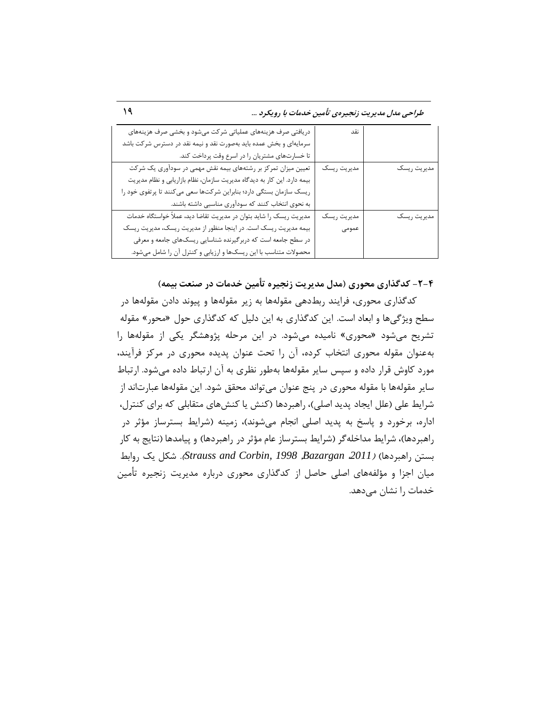طراحی مدل مدیریت زنجیرهی تأمین خدمات با رویکرد ...

| دریافتی صرف هزینههای عملیاتی شرکت میشود و بخشی صرف هزینههای              | نقد         |             |
|--------------------------------------------------------------------------|-------------|-------------|
| سرمایهای و بخش عمده باید بهصورت نقد و نیمه نقد در دسترس شرکت باشد        |             |             |
| تا خسارتهای مشتریان را در اسرع وقت پرداخت کند.                           |             |             |
| تعیین میزان تمرکز بر رشتههای بیمه نقش مهمی در سودآوری یک شرکت            | مديريت ريسك | مديريت ريسك |
| بیمه دارد. این کار به دیدگاه مدیریت سازمان، نظام بازاریابی و نظام مدیریت |             |             |
| ریسک سازمان بستگی دارد؛ بنابراین شرکتها سعی میکنند تا پرتفوی خود را      |             |             |
| به نحوی انتخاب کنند که سودآوری مناسبی داشته باشند.                       |             |             |
| مدیریت ریسک را شاید بتوان در مدیریت تقاضا دید، عملاً خواستگاه خدمات      | مديريت ريسك | مديريت ريسك |
| بیمه مدیریت ریسک است. در اینجا منظور از مدیریت ریسک، مدیریت ریسک         | عمومى       |             |
| در سطح جامعه است که دربرگیرنده شناسایی ریسکهای جامعه و معرفی             |             |             |
| محصولات متناسب با این ریسکها و ارزیابی و کنترل آن را شامل میشود.         |             |             |

**-2-4 كذگذاری هحَری )هذل هذیزیت سًجیزُ تأهیي خذهبت در صٌعت ثیوِ(**

کدگذاری محوری، فرایند ربطدهی مقولهها به زیر مقولهها و پیوند دادن مقولهها در سطح ویژگیها و ابعاد است. این کدگذاری به این دلیل که کدگذاری حول «محور» مقوله تشریح می شود «محوری» نامیده می شود. در این مرحله پژوهشگر یکی از مقولهها را به عنوان مقوله محوری انتخاب کرده، آن را تحت عنوان پدیده محوری در مرکز فرآیند، مورد کاوش قرار داده و سپس سایر مقولهها بهطور نظری به آن ارتباط داده میشود. ارتباط سایر مقولهها با مقوله محوری در پنج عنوان میتواند محقق شود. این مقولهها عبارتاند از شرایط علی (علل ایجاد پدید اصلی)، راهبردها (کنش یا کنش۵ای متقابلی که برای کنترل، اداره، برخورد و پاسخ به پدید اصلی انجام میشوند)، زمینه (شرایط بسترساز مؤثر در راهبردها)، شرایط مداخله گر (شرایط بسترساز عام مؤثر در راهبردها) و پیامدها (نتایج به کار ثستي ضاّجطزّب( )،*2011 Bazargan*, *1998 [,Corbin and Strauss](#page-27-5)*). ضْ یِ ضٍاثظ میان اجزا و مؤلفههای اصلی حاصل از کدگذاری محوری درباره مدیریت زنجیره تأمین خدمات را نشان میدهد.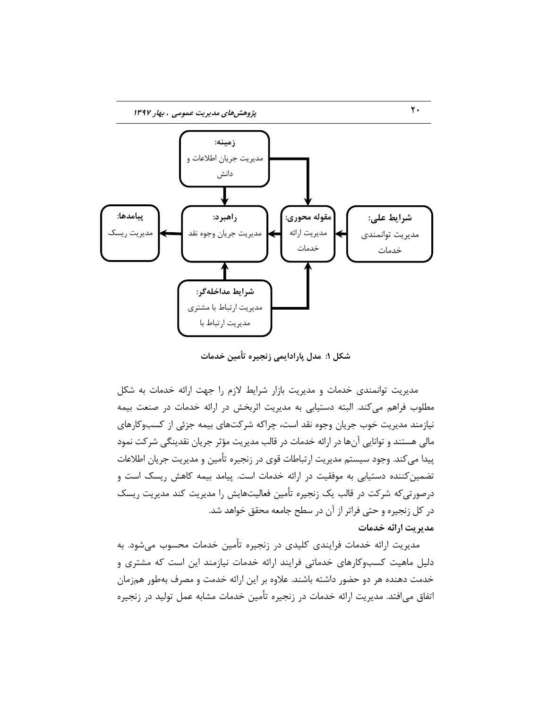

**ضکل :1 هذل پبرادایوی سًجیزُ تأهیي خذهبت**

مدیریت توانمندی خدمات و مدیریت بازار شرایط لازم را جهت ارائه خدمات به شکل مطلوب فراهم می کند. البته دستیابی به مدیریت اثربخش در ارائه خدمات در صنعت بیمه نیازمند مدیریت خوب جریان وجوه نقد است، چراکه شرکتهای بیمه جزئی از کسبوکارهای مالی هستند و توانایی آنها در ارائه خدمات در قالب مدیریت مؤثر جریان نقدینگی شرکت نمود پیدا می کند. وجود سیستم مدیریت ارتباطات قوی در زنجیره تأمین و مدیریت جریان اطلاعات تضمین کننده دستیابی به موفقیت در ارائه خدمات است. پیامد بیمه کاهش ریسک است و درصورتی که شرکت در قالب یک زنجیره تأمین فعالیتهایش را مدیریت رسیک ریسک در کل زنجیره و حتی فراتر از آن در سطح جامعه محقق خواهد شد. **هذیزیت ارائِ خذهبت**

مدیریت ارائه خدمات فرایندی کلیدی در زنجیره تأمین خدمات محسوب میشود. به دلیل ماهیت کسبوکارهای خدماتی فرایند ارائه خدمات نیازمند این است که مشتری و خدمت دهنده هر دو حضور داشته باشند. علاوه بر این ارائه خدمت و مصرف بهطور همزمان اتفاق می|فتد. مدیریت ارائه خدمات در زنجیره تأمین خدمات مشابه عمل تولید در زنجیره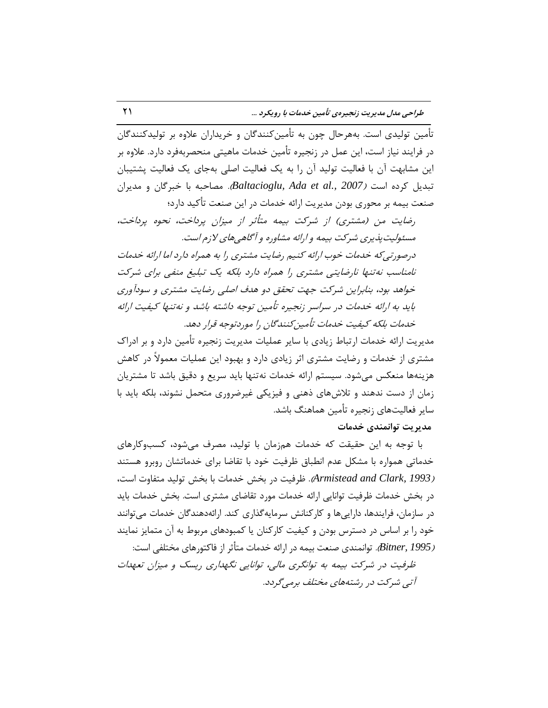تأمین تولیدی است. بِههرحال چون به تأمینکنندگان و خریداران علاوه بر تولیدکنندگان در فرایند نیاز است، این عمل در زنجیره تأمین خدمات ماهیتی منحصربهفرد دارد. علاوه بر این مشابهت آن با فعالیت تولید آن را به یِک فعالیت اصلی بهجای یِک فعالیت پشتیبان تبدیل کرده است *(2007 ,Baltacioglu, Ada et al.). مصاحبه* با خبرگان و مدیران صنعت بیمه بر محوری بودن مدیریت ارائه خدمات در این صنعت تأکید دارد؛

رضایت من (مشتری) از شرکت بیمه متأثر از میزان پرداخت، نحوه پرداخت، مسئولیت پذیری شرکت بیمه و ارائه مشاوره و آگاهی های لازم است.

درصورتیِ که خدمات خوب ارائه کنیم رضایت مشتری را به همراه دارد اما ارائه خدمات نامناسب نه تنها نارضایتی مشتری را همراه دارد بلکه یک تبلیغ منفی برای شرکت خواهد بود، بنابراین شرکت جهت تحقق دو هدف اصلی رضایت مشتری و سودآوری باید به ارائه خدمات در سراسر زنجیره تأمین توجه داشته باشد و نهتنها کیفیت ارائه خدمات بلِکه کیفیت خدمات تأمین کنندگان را موردتوجه قرار دهد.

مدیریت ارائه خدمات ارتباط زیادی با سایر عملیات مدیریت زنجیره تأمین دارد و بر ادراک مشتری از خدمات و رضایت مشتری اثر زیادی دارد و بهبود این عملیات معمولاً در کاهش هزینهها منعکس می شود. سیستم ارائه خدمات نه تنها باید سریع و دقیق باشد تا مشتریان زمان از دست ندهند و تلاش های ذهنی و فیزیکی غیرضروری متحمل نشوند، بلکه باید با سایر فعالیتهای زنجیره تأمین هماهنگ باشد.

**هذیزیت تَاًوٌذی خذهبت**

با توجه به این حقیقت که خدمات همزمان با تولید، مصرف می شود، کسب وکارهای خدماتی همواره با مشکل عدم انطباق ظرفیت خود با تقاضا برای خدماتشان روبرو هستند )*1993 [,Clark and Armistead](#page-25-3)*). ؽطىیت زض ثرص ذسهبت ثب ثرص تَلیس هتيبٍت است، در بخش خدمات ظرفیت توانایی ارائه خدمات مورد تقاضای مشتری است. بخش خدمات باید در سازمان، فرایندها، داراییها و کارکنانش سرمایهگذاری کند. ارائهدهندگان خدمات میتوانند خود را بر اساس در دسترس بودن و کیفیت کارکنان یا کمبودهای مربوط به آن متمایز نمایند )*1995 [,Bitner](#page-25-8)*). تَاًوٌسی غٌقت ثیوِ زض اضائِ ذسهبت هتمثط اظ ىبّتَضّبی هرتليی است: ظرفیت در شرکت بیمه به توانگری مالی، توانایی نگهداری ریسک و میزان تعهدات

آتی شرکت در رشتههای مختلف برمی گردد.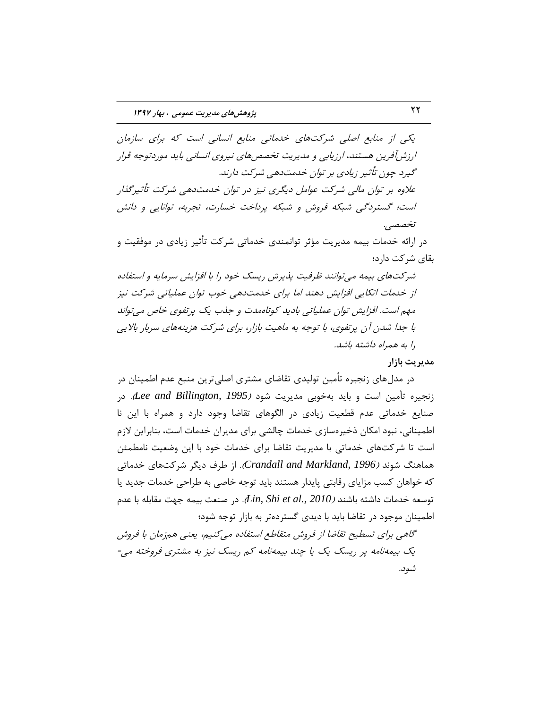یکی از منابع اصلی شرکتّهای خدماتی منابع انسانی است که برای سازمان ارزشآفرین هستند، ارزیابی و مدیریت تخصصهای نیروی انسانی باید موردتوجه قرار گیرد چون تأثیر زیادی بر توان خدمتدهی شرکت دارند. علاوه بر توان مالی شرکت عوامل دیگری نیز در توان خدمتدهی شرکت تأثیرگذار است؛ گستردگی شبکه فروش و شبکه پرداخت خسارت، تجربه، توانایی و دانش تخصصی.

در ارائه خدمات بیمه مدیریت مؤثر توانمندی خدماتی شرکت تأثیر زیادی در موفقیت و بقای شرکت دارد؛

شركتهای بیمه می توانند ظرفیت پذیرش ریسک خود را با افزایش سرمایه و استفاده از خدمات اتکایی افزایش دهند اما برای خدمتدهی خوب توان عملیاتی شرکت نیز مهم است. افزایش توان عملیاتی بادید کوتاهمدت و جذب یک پرتفوی خاص می تواند با جدا شدن آن پرتفوی، با توجه به ماهیت بازار، برای شرکت هزینههای سربار بالایی را به همراه داشته باشد.

هدیریت بازار

در مدلهای زنجیره تأمین تولیدی تقاضای مشتری اصلیترین منبع عدم اطمینان در زنجیره تأمین است و باید بهخوبی مدیریت شود *(Lee and Billington, 1995*). در صنایع خدماتی عدم قطعیت زیادی در الگوهای تقاضا وجود دارد و همراه با این نا اطمینانی، نبود امکان ذخیر مسازی خدمات چالشی برای مدیران خدمات است، بنابراین لازم است تا شركتّهای خدماتی با مدیریت تقاضا برای خدمات خود با این وضعیت نامطمئن هماهنگ شوند *(1996 ,Crandall and Markland).* از طرف دیگر شرکتهای خدماتی که خواهان کسب مزایای رقابتی پایدار هستند باید توجه خاصی به طراحی خدمات جدید یا توسعِه خدمات داشته باشند *(Lin, Shi et al., 2010).* در صنعت بیمه جهت مقابله با عدم اطمینان موجود در تقاضا باید با دیدی گستردهتر به بازار توجه شود؛ گاهی برای تسطیح تقاضا از فروش متقاطع استفاده می کنیم، یعنی همزمان با فروش

یِک بیمهِ نامه پر ریسک یِک یا چند بیمهِ نامه کم ریسک نیز به مشتری فروخته می-شود.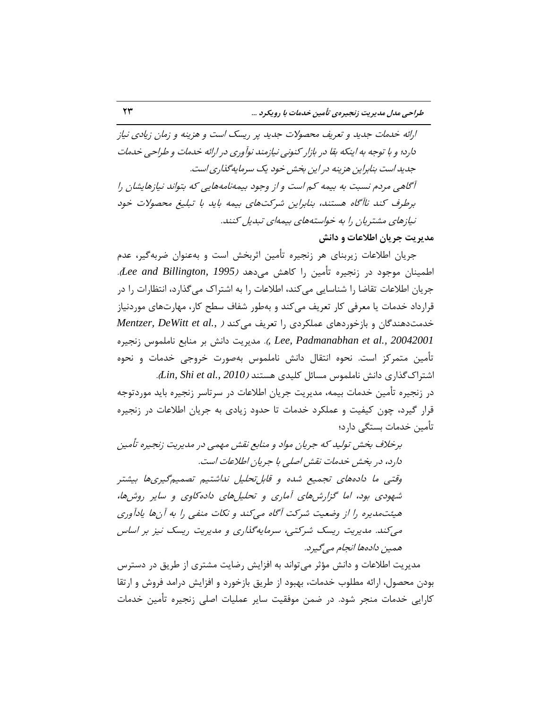ارائه خدمات جدید و تعریف محصولات جدید پر ریسک است و هزینه و زمان زیادی نیاز دارد؛ و با توجه به اینکه بقا در بازار کنونی نیازمند نوآوری در ارائه خدمات و طراحی خدمات جدید است بنابراین هزینه در این بخش خود یک سرمایهگذاری است. آگاهی مردم نسبت به بیمه کم است و از وجود بیمهنامههایی که بتواند نیازهایشان را برطرف کند ناآگاه هستند، بنابراین شرکتهای بیمه باید با تبلیغ محصولات خود تیازهای مشتریان را به خواستههای بیمهای تبدیل کنند. **هذیزیت جزیبى اعالعبت ٍ داًص**

جریان اطلاعات زیربنای هر زنجیره تأمین اثربخش است و بهعنوان ضربهگیر، عدم اطمینان موجود در زنجیره تأمین را کاهش میدهد *(Lee and Billington, 1995*). جریان اطلاعات تقاضا را شناسایی می کند، اطلاعات را به اشتراک می گذارد، انتظارات را در قرارداد خدمات یا معرفی کار تعریف می کند و بهطور شفاف سطح کار، مهارتهای موردنیاز خدمتدهندگان و بازخوردهای عملکردی را تعریف میکند *( .Mentzer, DeWitt et al 200[42001](#page-26-12) ,Lee, Padmanabhan et al., 20042001 ..* مدیریت دانش بر منابع ناملموس زنجیرہ تأمین متمرکز است. نحوه انتقال دانش ناملموس بهصورت خروجی خدمات و نحوه اشتراکگذاری دانش ناملموس مسائل کلیدی هستند *(Lin, Shi et al., 2010).* در زنجیره تأمین خدمات بیمه، مدیریت جریان اطلاعات در سرتاسر زنجیره باید موردتوجه قرار گیرد، چون کیفیت و عملکرد خدمات تا حدود زیادی به جریان اطلاعات در زنجیره تأمین خدمات بستگی دارد؛

برخلاف بخش تولید که جریان مواد و منابع نقش مهمی در مدیریت زنجیره تأمین دارد، در بخش خدمات نقش اصلی با جریان اطلاعات است. وقتی ما دادههای تجمیع شده و قابلِ تحلیل نداشتیم تصمیم گیریها بیشتر شهودی بود، اما گزارشهای آماری و تحلیلهای داده کاوی و سایر روشها، هیئتهدیره را از وضعیت شرکت آگاه می کند و نکات منفی را به آنها یادآوری میِ کند. مدیریت ریسک شرکتی، سرمایهگذاری و مدیریت ریسک نیز بر اساس همین دادهها انجام می گیرد.

مدیریت اطلاعات و دانش مؤثر می تواند به افزایش رضایت مشتری از طریق در دسترس بودن محصول، ارائه مطلوب خدمات، بهبود از طریق بازخورد و افزایش درامد فروش و ارتقا کارایی خدمات منجر شود. در ضمن موفقیت سایر عملیات اصلی زنجیره تأمین خدمات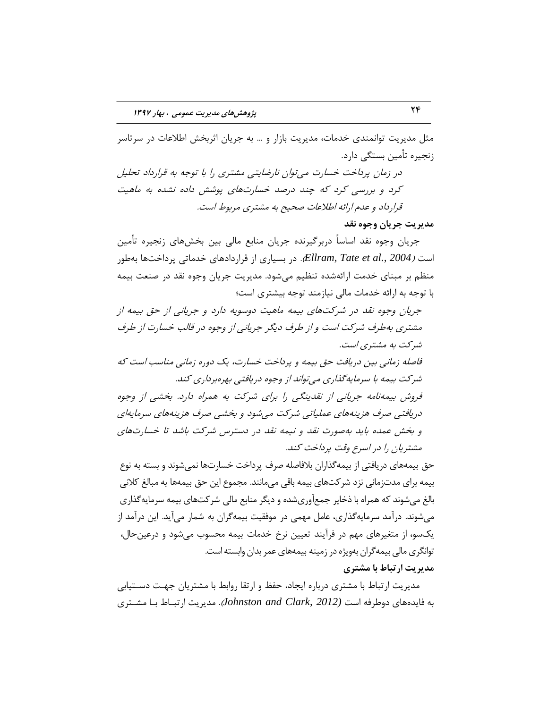مثل مدیریت توانمندی خدمات، مدیریت بازار و ... به جریان اثربخش اطلاعات در سرتاسر زنجیره تأمین بستگی دارد.

در زمان پرداخت خسارت میتوان نارضایتی مشتری را با توجه به قرارداد تحلیل کرد و بررسی کرد که چند درصد خسارتهای پوشش داده نشده به ماهیت قرارداد و عدم ارائه اطلاعات صحیح به مشتری مربوط است.

**هذیزیت جزیبى ٍجَُ ًمذ**

جریان وجوه نقد اساساً دربرگیرنده جریان منابع مالی بین بخشهای زنجیره تأمین است *(2004 ,،Ellram, Tate et al.).* در بسیاری از قراردادهای خدماتی پرداختها بهطور منظم بر مبنای خدمت ارائهشده تنظیم می شود. مدیریت جریان وجوه نقد در صنعت بیمه با توجه به ارائه خدمات مالی نیازمند توجه بیشتری است؛

خِریان وجوه نقد در شركتهای بیمه ماهیت دوسویه دارد و خریانی از حق بیمه از مشتری بهطرف شرکت است و از طرف دیگر جریانی از وجوه در قالب خسارت از طرف شرکت به مشتری است.

فاصله زمانی بین دریافت حق بیمه و پرداخت خسارت، یک دوره زمانی مناسب است که شركت بیمه با سرمایهگذاری میتواند از وجوه دریافتی بهرهبرداری كند. فروش بیمهِ نامه جریانی از نقدینگی را برای شرکت به همراه دارد. بخشی از وجوه دریافتی صرف هزینههای عملیاتی شرکت می شود و بخشی صرف هزینههای سرمایهای

و بخش عمده باید بهصورت نقد و نیمه نقد در دسترس شرکت باشد تا خسارتهای مشتریان را در اسرع وقت پرداخت کند. حق بیمههای دریافتی از بیمهگذاران بلافاصله صرف پرداخت خسارتها نمیشوند و بسته به نوع

بیمه برای مدتزمانی نزد شركتهای بیمه باقی میمانند. مجموع این حق بیمهها به مبالغ كلانی بالغ می شوند که همراه با ذخایر جمعآوریشده و دیگر منابع مالی شرکتهای بیمه سرمایهگذاری می شوند. درآمد سرمایهگذاری، عامل مهمی در موفقیت بیمهگران به شمار میآید. این درآمد از یکسو، از متغیرهای مهم در فرآیند تعیین نرخ خدمات بیمه محسوب می شود و درعینحال، توانگری مالی بیمه گران بهویژه در زمینه بیمههای عمر بدان وابسته است. **هذیزیت ارتجبط ثب هطتزی**

مدیریت ارتباط با مشتری درباره ایجاد، حفظ و ارتقا روابط با مشتریان جهت دســتیابی ثِ ىبیسُّبی زٍعطىِ است *(2012 ,Clark and Johnston*). هسیطیت اضتجربط ثرب هطرتطی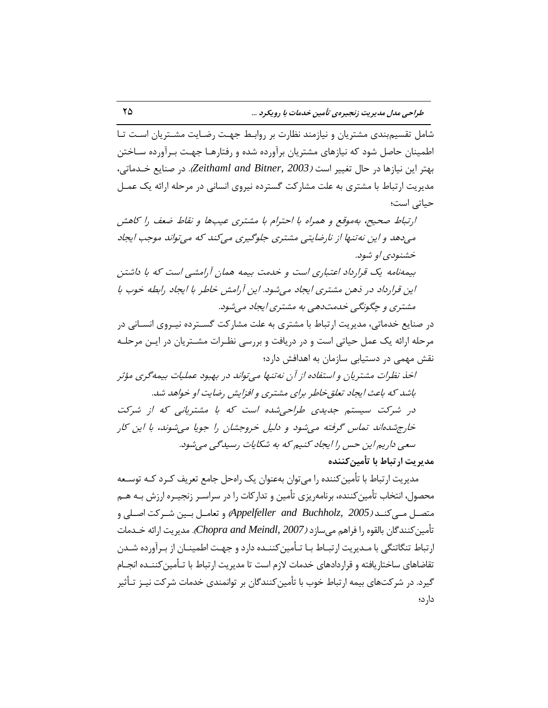شامل تقسیم بندی مشتریان و نیازمند نظارت بر روابط جهت رضـایت مشـتریان اسـت تـا اطمینان حاصل شود که نیازهای مشتریان برآورده شده و رفتارهـا جهـت بـرآورده سـاختن ثْتط ایي ًیبظّب زض حبل تنییط است )*2003 ,Bitner [and Zeithaml](#page-27-6)*). زض غٌبیـ ذرسهبتی، مدیریت ارتباط با مشتری به علت مشارکت گسترده نیروی انسانی در مرحله ارائه یِک عمـل حیبتی است؛

ارتباط صحیح، بهِموقع و همراه با احترام با مشتری عیبها و نقاط ضعف را کاهش می دهد و این نه تنها از نارضایتی مشتری جلوگیری می کند که می تواند موجب ایجاد خشنودی او شود. بیمهِ نامه یِک قرارداد اعتباری است و خدمت بیمه همان آرامشی است که با داشتن این قرارداد در ذهن مشتری ایجاد می شود. این آرامش خاطر با ایجاد رابطه خوب با

مشتری و چگونگی خدمتدهی به مشتری ایجاد می شود. در صنایع خدماتی، مدیریت ارتباط با مشتری به علت مشارکت گسـترده نیـروی انسـانی در مرحله ارائه یِک عمل حیاتی است و در دریافت و بررسی نظـرات مشـتریان در ایـن مرحلـه نقش مهمی در دستیابی سازمان به اهدافش دارد؛

اخذ نظرات مشتریان و استفاده از آن نه تنبها می تواند در بهبود عملیات بیمه گری مؤثر باشد که باعث ایجاد تعلق خاطر برای مشتری و افزایش رضایت او خواهد شد. در شرکت سیستم جدیدی طراحی شده است که با مشتریانی که از شرکت خارج شده اند تماس گرفته می شود و دلیل خروجشان را جویا می شوند، با این کار سعی داریم این حس را ایجاد کنیم که به شکایات رسیدگی می شود.

**هذیزیت ارتجبط ثب تأهیيكٌٌذُ**

مدیریت ارتباط با تأمین کننده را می توان بِهعنوان یِک راهحل جامع تعریف کـرد کـه توسـعه محصول، انتخاب تأمین کننده، برنامهریزی تأمین و تدارکات را در سراسـر زنجیـره ارزش بـه هـم هتػرر هرریٌّررس )*2005 [,Buchholz and Appelfeller](#page-25-9)* )ٍ تقبهرر ثرریي ضررطّت اغررلی ٍ تأمين كنندگان بالقوه ,ا فراهم می سازد *(2007 ,Chopra and Meindl).* مدیریت ا<sub>ر</sub>ائه خــدمات ارتباط تنگاتنگی با مـدیریت ارتبــاط بــا تــأمین کننــده دارد و جهــت اطمینــان از بــرآورده شــدن تقاضاهای ساختاریافته و قراردادهای خدمات لازم است تا مدیریت ارتباط با تـأمین کننــده انجــام گیرد. در شركتّهای بیمه ارتباط خوب با تأمین كنندگان بر توانمندی خدمات شركت نیــز تــأثبر دارد؛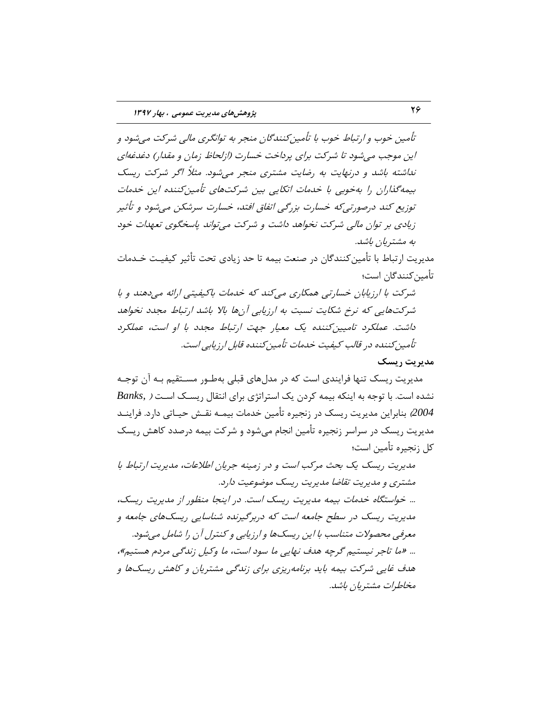تأمین خوب و ارتباط خوب با تأمین کنندگان منجر به توانگری مالی شرکت می شود و این موجب می شود تا شرکت برای پرداخت خسارت (ازلحاظ زمان و مقدار) دغدغهای نداشته باشد و درنهایت به رضایت مشتری منجر می شود. مثلاً اگر شرکت ریسک بیمه گذاران را بهخوبی با خدمات اتکایی بین شرکتهای تأمین کننده این خدمات توزیع کند درصورتی که خسارت بزرگی اتفاق افتد، خسارت سرشکن می شود و تأثیر زیادی بر توان مالی شرکت نخواهد داشت و شرکت می تواند پاسخگوی تعهدات خود به مشتریان باشد.

مدیریت ارتباط با تأمین کنندگان در صنعت بیمه تا حد زیادی تحت تأثیر کیفیـت خـدمات تأمین کنندگان است؛

شرکت با ارزیابان خسارتی همکاری می کند که خدمات باکیفیتی ارائه می دهند و با شركتهایی كه نرخ شكایت نسبت به ارزیابی آنها بالا باشد ارتباط مجدد نخواهد داشت. عملکرد تامیین کننده یک معیار جهت ارتباط مجدد با او است، عملکرد تأمین کننده در قالب کیفیت خدمات تأمین کننده قابل ارز بابی است.

#### **هذیزیت ریسك**

مدیریت ریسک تنها فرایندی است که در مدلهای قبلی بهطـور مسـتقیم بـه آن توجـه نشدهاست. با توجه به اینکه بیمه کردن یک استراتژی برای انتقال ریسک است ( Banks, 2*004)* بنابراین مدیریت ریسک در زنجیره تأمین خدمات بیمـه نقـش حیـاتی دارد. فراینــد مدیریت ریسک در سراسر زنجیره تأمین انجام می شود و شرکت بیمه درصدد کاهش ریسک کل زنجیره تأمین است؛

مدیریت ریسک یک بحث مرکب است و در زمینه جریان اطلاعات، مدیریت ارتباط با مشتری و مدیریت تقاضا مدیریت ریسک موضوعیت دارد. ... خواستگاه خدمات بیمه مدیریت ریسک است. در اینجا منظور از مدیریت ریسک، مدیریت ریسک در سطح جامعه است که دربرگیرنده شناسایی ریسکهای جامعه و معرفی محصولات متناسب با این ریسکها و ارزیابی و کنترل آن را شامل می شود. ... «ما تاجر نیستیم گرچِه هدف نهایی ما سود است، ما وکیل زندگی مردم هستیم»، هدف غایبی شرکت بیمه باید برنامهریزی برای زندگی مشتریان و کاهش ریسکها و مخاطرات مشتريان باشد.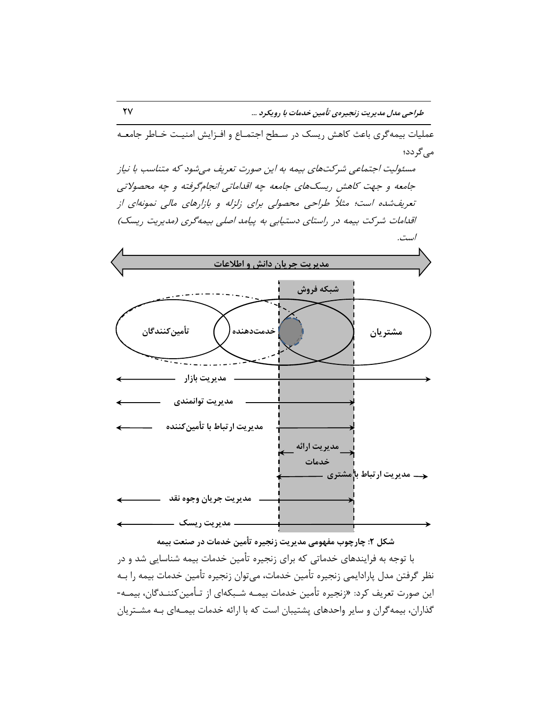عملیات بیمه گری باعث کاهش ریسک در سـطح اجتمـاع و افـزایش امنیـت خـاطر جامعـه می گردد؛

مسئولیت اجتماعی شرکتهای بیمه به این صورت تعریف میشود که متناسب با نیاز جامعه و جهت كاهش ريسكهاى جامعه چِه اقداماتی انجامگرفته و چِه محصولاتی تعریفشده است؛ مثلاً طراحی محصولی برای زلزله و بازارهای مالی نمونهای از اقدامات شرکت بیمه در راستای دستیابی به پیامد اصلی بیمهگری (مدیریت ریسک) است.



شکل ۲: چارچوب مفهومی مدیریت زنجیره تأمین خدمات در صنعت بیمه

با توجه به فرایندهای خدماتی که برای زنجیره تأمین خدمات بیمه شناسایی شد و در نظر گرفتن مدل پارادایمی زنجیره تأمین خدمات، میتوان زنجیره تأمین خدمات بیمه را بـه این صورت تعریف کرد: «زنجیره تأمین خدمات بیمـه شـبکهای از تـأمین کننـدگان، بیمـه-گذاران، بیمه گران و سایر واحدهاى پشتیبان است که با ارائه خدمات بیمـهاى بـه مشـترِ پان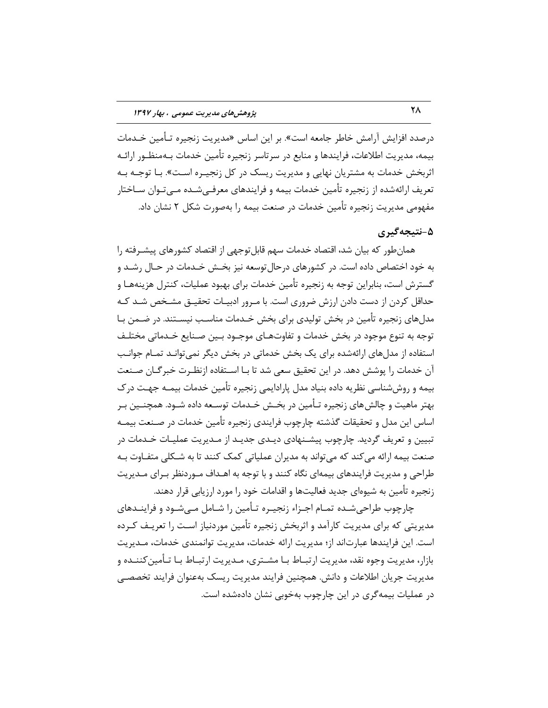درصدد افزایش آرامش خاطر جامعه است». بر این اساس «مدیریت زنجیره تـأمین خـدمات بیمه، مدیریت اطلاعات، فرایندها و منابع در سرتاسر زنجیره تأمین خدمات بـهمنظـور ارائـه اثربخش خدمات به مشتریان نهایی و مدیریت ریسک در کل زنجیـره اسـت». بـا توجـه بـه تعریف ارائهشده از زنجیره تأمین خدمات بیمه و فرایندهای معرفـی شـده مـی تـوان سـاختار مفهومی مدیریت زنجیره تأمین خدمات در صنعت بیمه را بهصورت شکل ۲ نشان داد.

### **ً-5تیجِگیزی**

همانِ طور که بیان شد، اقتصاد خدمات سهم قابلتوجهی از اقتصاد کشورهای پیشـرفته را به خود اختصاص داده است. در کشورهای درحال توسعه نیز بخــش خــدمات در حــال رشــد و گسترش است، بنابراین توجه به زنجیره تأمین خدمات برای بهبود عملیات، کنترل هزینههـا و حداقل کردن از دست دادن ارزش ضرورى است. با مـرور ادبیـات تحقیـق مشـخص شـد کـه مدلهای زنجیره تأمین در بخش تولیدی برای بخش خـدمات مناسـب نیسـتند. در ضـمن بـا توجه به تنوع موجود در بخش خدمات و تفاوتهـای موجـود بـین صـنایع خـدماتی مختلـف استفاده از مدلهای ارائهشده برای یک بخش خدماتی در بخش دیگر نمی توانـد تمـام جوانـب آن خدمات را پوشش دهد. در این تحقیق سعی شد تا بـا اسـتفاده ازنظـرت خبرگـان صـنعت بیمه و روششناسی نظریه داده بنیاد مدل پارادایمی زنجیره تأمین خدمات بیمـه جهـت در ک بهتر ماهیت و چالش های زنجیره تـأمین در بخـش خـدمات توسـعه داده شـود. همچنــین بـر اساس این مدل و تحقیقات گذشته چارچوب فرایندی زنجیره تأمین خدمات در صـنعت بیمـه تبیین و تعریف گردید. چارچوب پیشـنهادی دیـدی جدیـد از مـدیریت عملیـات خـدمات در صنعت بیمه ارائه می کند که می تواند به مدیران عملیاتی کمک کنند تا به شـکلی متفـاوت بـه طراحی و مدیریت فرایندهای بیمهای نگاه کنند و با توجه به اهـداف مـوردنظر بـرای مـدیریت زنجیره تأمین به شیوهای جدید فعالیتها و اقدامات خود را مورد ارزیابی قرار دهند.

چارچوب طراحی شـده تمــام اجــزاء زنجیــره تــأمین را شــامل مــی شــود و فراینــدهای مدیریتی که برای مدیریت کارآمد و اثربخش زنجیره تأمین موردنیاز است را تعریـف کـرده است. این فرایندها عبارتاند از؛ مدیریت ارائه خدمات، مدیریت توانمندی خدمات، مـدیریت بازار، مدیریت وجوه نقد، مدیریت ارتبـاط بـا مشـتری، مـدیریت ارتبـاط بـا تـأمین کننــده و مدیریت جریان اطلاعات و دانش. همچنین فرایند مدیریت ریسک بهعنوان فرایند تخصصے در عملیات بیمه گری در این چارچوب بهخوبی نشان دادهشده است.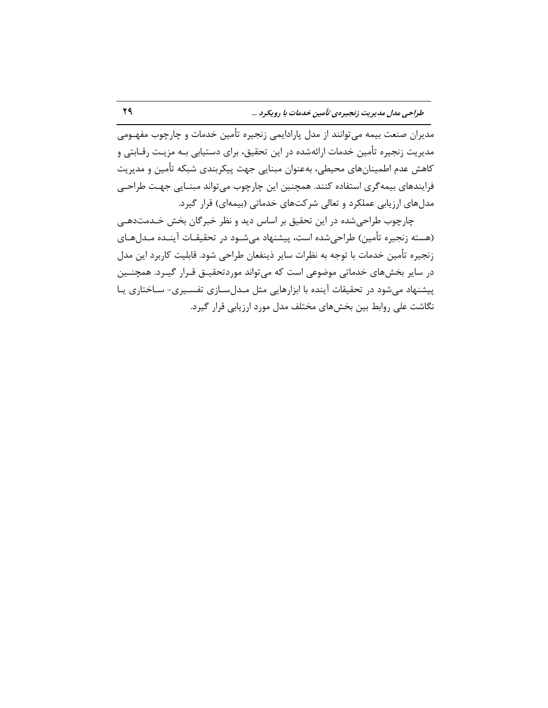مدیران صنعت بیمه میتوانند از مدل پارادایمی زنجیره تأمین خدمات و چارچوب مفهـومی مدیریت زنجیره تأمین خدمات ارائهشده در این تحقیق، برای دستیابی بـه مزیـت رقــابتی و کاهش عدم اطمینانهای محیطی، بهعنوان مبنایی جهت پیکربندی شبکه تأمین و مدیریت فرایندهای بیمه گری استفاده کنند. همچنین این چارچوب میتواند مبنـایی جهـت طراحـی مدلهای ارزیابی عملکرد و تعالی شرکتهای خدماتی (بیمهای) قرار گیرد.

چارچوب طراحی شده در این تحقیق بر اساس دید و نظر خبرگان بخش خـدمتدهـی (هسته زنجیره تأمین) طراحیشده است، پیشنهاد میشـود در تحقیقـات آینـده مـدلهـای زنجیره تأمین خدمات با توجه به نظرات سایر ذینفعان طراحی شود. قابلیت کاربرد این مدل در سایر بخش های خدماتی موضوعی است که می تواند موردتحقیــق قــرار گیــرد. همچنــین پیشنهاد میشود در تحقیقات آینده با ابزارهایی مثل مـدلسـازی تفسـیری- سـاختاری یـا نگاشت علی روابط بین بخشهای مختلف مدل مورد ارزیابی قرار گیرد.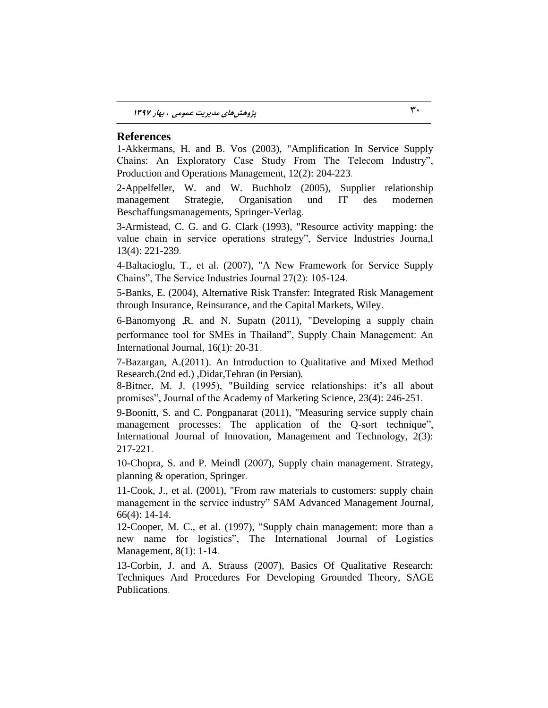#### **References**

<span id="page-25-5"></span>1-Akkermans, H. and B. Vos (2003), "Amplification In Service Supply Chains: An Exploratory Case Study From The Telecom Industry", Production and Operations Management, 12(2): 204-223.

<span id="page-25-9"></span>2-Appelfeller, W. and W. Buchholz (2005), Supplier relationship management Strategie, Organisation und IT des modernen Beschaffungsmanagements, Springer-Verlag.

<span id="page-25-3"></span>3-Armistead, C. G. and G. Clark (1993), "Resource activity mapping: the value chain in service operations strategy", Service Industries Journa,l 13(4): 221-239.

<span id="page-25-6"></span>4-Baltacioglu, T., et al. (2007), "A New Framework for Service Supply Chains", The Service Industries Journal 27(2): 105-124.

<span id="page-25-11"></span>5-Banks, E. (2004), Alternative Risk Transfer: Integrated Risk Management through Insurance, Reinsurance, and the Capital Markets, Wiley.

<span id="page-25-2"></span>6-Banomyong ,R. and N. Supatn (2011), "Developing a supply chain performance tool for SMEs in Thailand", Supply Chain Management: An International Journal, 16(1): 20-31.

<span id="page-25-8"></span>7-Bazargan, A.(2011). An Introduction to Qualitative and Mixed Method Research.(2nd ed.) ,Didar,Tehran (in Persian).

<span id="page-25-1"></span>8-Bitner, M. J. (1995), "Building service relationships: it's all about promises", Journal of the Academy of Marketing Science, 23(4): 246-251.

9-Boonitt, S. and C. Pongpanarat (2011), "Measuring service supply chain management processes: The application of the Q-sort technique", International Journal of Innovation, Management and Technology, 2(3): 217-221.

<span id="page-25-10"></span>10-Chopra, S. and P. Meindl (2007), Supply chain management. Strategy, planning & operation, Springer.

<span id="page-25-4"></span>11-Cook, J., et al. (2001), "From raw materials to customers: supply chain management in the service industry" SAM Advanced Management Journal, 66(4): 14-14.

<span id="page-25-0"></span>12-Cooper, M. C., et al. (1997), "Supply chain management: more than a new name for logistics", The International Journal of Logistics Management, 8(1): 1-14.

<span id="page-25-7"></span>13-Corbin, J. and A. Strauss (2007), Basics Of Qualitative Research: Techniques And Procedures For Developing Grounded Theory, SAGE Publications.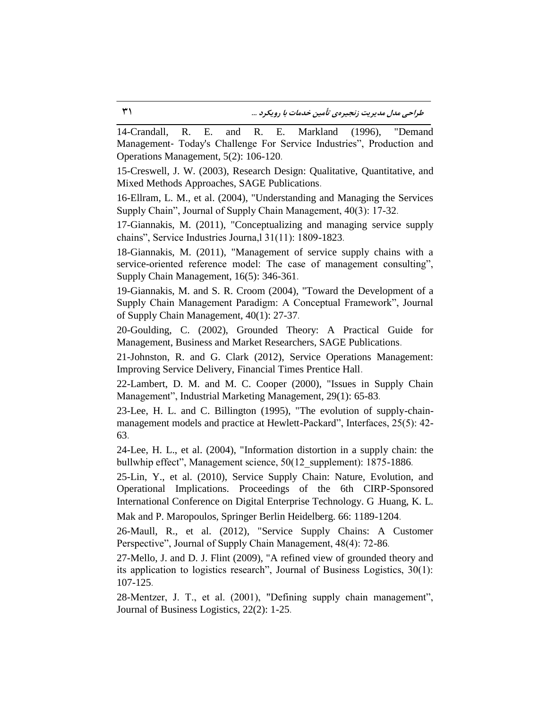<span id="page-26-11"></span>14-Crandall, R. E. and R. E. Markland (1996), "Demand Management‐ Today's Challenge For Service Industries", Production and Operations Management, 5(2): 106-120.

15-Creswell, J. W. (2003), Research Design: Qualitative, Quantitative, and Mixed Methods Approaches, SAGE Publications.

<span id="page-26-5"></span>16-Ellram, L. M., et al. (2004), "Understanding and Managing the Services Supply Chain", Journal of Supply Chain Management, 40(3): 17-32.

<span id="page-26-0"></span>17-Giannakis, M. (2011), "Conceptualizing and managing service supply chains", Service Industries Journa,l 31(11): 1809-1823.

<span id="page-26-2"></span>18-Giannakis, M. (2011), "Management of service supply chains with a service-oriented reference model: The case of management consulting", Supply Chain Management, 16(5): 346-361.

<span id="page-26-6"></span>19-Giannakis, M. and S. R. Croom (2004), "Toward the Development of a Supply Chain Management Paradigm: A Conceptual Framework", Journal of Supply Chain Management, 40(1): 27-37.

<span id="page-26-9"></span>20-Goulding, C. (2002), Grounded Theory: A Practical Guide for Management, Business and Market Researchers, SAGE Publications.

<span id="page-26-3"></span>21-Johnston, R. and G. Clark (2012), Service Operations Management: Improving Service Delivery, Financial Times Prentice Hall.

<span id="page-26-1"></span>22-Lambert, D. M. and M. C. Cooper (2000), "Issues in Supply Chain Management", Industrial Marketing Management, 29(1): 65-83.

<span id="page-26-10"></span>23-Lee, H. L. and C. Billington (1995), "The evolution of supply-chainmanagement models and practice at Hewlett-Packard", Interfaces, 25(5): 42- 63.

<span id="page-26-13"></span>24-Lee, H. L., et al. (2004), "Information distortion in a supply chain: the bullwhip effect", Management science, 50(12 supplement): 1875-1886.

<span id="page-26-4"></span>25-Lin, Y., et al. (2010), Service Supply Chain: Nature, Evolution, and Operational Implications. Proceedings of the 6th CIRP-Sponsored International Conference on Digital Enterprise Technology. G .Huang, K. L. Mak and P. Maropoulos, Springer Berlin Heidelberg. 66: 1189-1204.

<span id="page-26-7"></span>26-Maull, R., et al. (2012), "Service Supply Chains: A Customer Perspective", Journal of Supply Chain Management, 48(4): 72-86.

<span id="page-26-8"></span>27-Mello, J. and D. J. Flint (2009), "A refined view of grounded theory and its application to logistics research", Journal of Business Logistics, 30(1): 107-125.

<span id="page-26-12"></span>28-Mentzer, J. T., et al. (2001), "Defining supply chain management", Journal of Business Logistics, 22(2): 1-25.